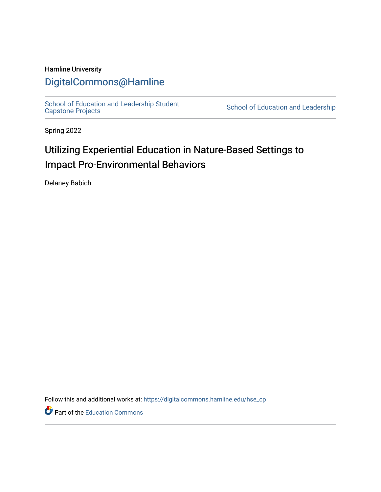# Hamline University

# [DigitalCommons@Hamline](https://digitalcommons.hamline.edu/)

[School of Education and Leadership Student](https://digitalcommons.hamline.edu/hse_cp)<br>Capstone Projects

School of Education and Leadership

Spring 2022

# Utilizing Experiential Education in Nature-Based Settings to Impact Pro-Environmental Behaviors

Delaney Babich

Follow this and additional works at: [https://digitalcommons.hamline.edu/hse\\_cp](https://digitalcommons.hamline.edu/hse_cp?utm_source=digitalcommons.hamline.edu%2Fhse_cp%2F803&utm_medium=PDF&utm_campaign=PDFCoverPages) 

Part of the [Education Commons](https://network.bepress.com/hgg/discipline/784?utm_source=digitalcommons.hamline.edu%2Fhse_cp%2F803&utm_medium=PDF&utm_campaign=PDFCoverPages)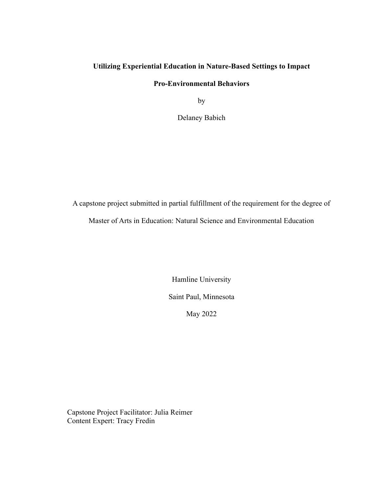# **Utilizing Experiential Education in Nature-Based Settings to Impact**

# **Pro-Environmental Behaviors**

by

Delaney Babich

A capstone project submitted in partial fulfillment of the requirement for the degree of

Master of Arts in Education: Natural Science and Environmental Education

Hamline University Saint Paul, Minnesota May 2022

Capstone Project Facilitator: Julia Reimer Content Expert: Tracy Fredin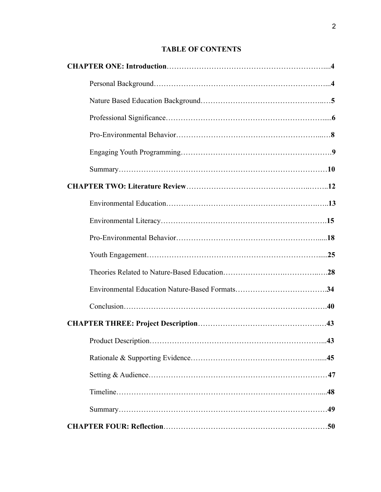# **TABLE OF CONTENTS**

| .43 |
|-----|
|     |
|     |
|     |
|     |
|     |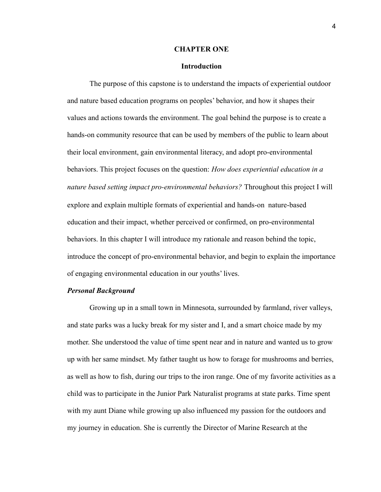#### **CHAPTER ONE**

## **Introduction**

The purpose of this capstone is to understand the impacts of experiential outdoor and nature based education programs on peoples' behavior, and how it shapes their values and actions towards the environment. The goal behind the purpose is to create a hands-on community resource that can be used by members of the public to learn about their local environment, gain environmental literacy, and adopt pro-environmental behaviors. This project focuses on the question: *How does experiential education in a nature based setting impact pro-environmental behaviors?* Throughout this project I will explore and explain multiple formats of experiential and hands-on nature-based education and their impact, whether perceived or confirmed, on pro-environmental behaviors. In this chapter I will introduce my rationale and reason behind the topic, introduce the concept of pro-environmental behavior, and begin to explain the importance of engaging environmental education in our youths' lives.

#### *Personal Background*

Growing up in a small town in Minnesota, surrounded by farmland, river valleys, and state parks was a lucky break for my sister and I, and a smart choice made by my mother. She understood the value of time spent near and in nature and wanted us to grow up with her same mindset. My father taught us how to forage for mushrooms and berries, as well as how to fish, during our trips to the iron range. One of my favorite activities as a child was to participate in the Junior Park Naturalist programs at state parks. Time spent with my aunt Diane while growing up also influenced my passion for the outdoors and my journey in education. She is currently the Director of Marine Research at the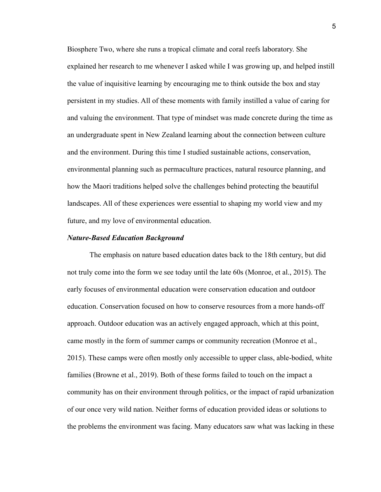Biosphere Two, where she runs a tropical climate and coral reefs laboratory. She explained her research to me whenever I asked while I was growing up, and helped instill the value of inquisitive learning by encouraging me to think outside the box and stay persistent in my studies. All of these moments with family instilled a value of caring for and valuing the environment. That type of mindset was made concrete during the time as an undergraduate spent in New Zealand learning about the connection between culture and the environment. During this time I studied sustainable actions, conservation, environmental planning such as permaculture practices, natural resource planning, and how the Maori traditions helped solve the challenges behind protecting the beautiful landscapes. All of these experiences were essential to shaping my world view and my future, and my love of environmental education.

#### *Nature-Based Education Background*

The emphasis on nature based education dates back to the 18th century, but did not truly come into the form we see today until the late 60s (Monroe, et al., 2015). The early focuses of environmental education were conservation education and outdoor education. Conservation focused on how to conserve resources from a more hands-off approach. Outdoor education was an actively engaged approach, which at this point, came mostly in the form of summer camps or community recreation (Monroe et al., 2015). These camps were often mostly only accessible to upper class, able-bodied, white families (Browne et al., 2019). Both of these forms failed to touch on the impact a community has on their environment through politics, or the impact of rapid urbanization of our once very wild nation. Neither forms of education provided ideas or solutions to the problems the environment was facing. Many educators saw what was lacking in these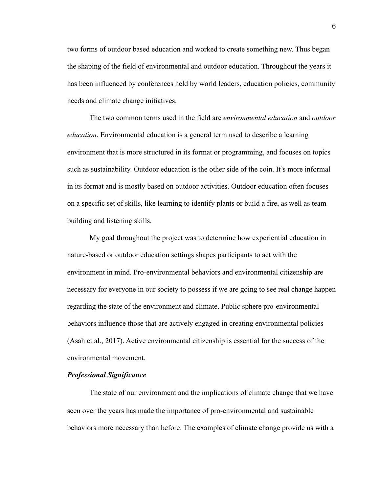two forms of outdoor based education and worked to create something new. Thus began the shaping of the field of environmental and outdoor education. Throughout the years it has been influenced by conferences held by world leaders, education policies, community needs and climate change initiatives.

The two common terms used in the field are *environmental education* and *outdoor education*. Environmental education is a general term used to describe a learning environment that is more structured in its format or programming, and focuses on topics such as sustainability. Outdoor education is the other side of the coin. It's more informal in its format and is mostly based on outdoor activities. Outdoor education often focuses on a specific set of skills, like learning to identify plants or build a fire, as well as team building and listening skills.

My goal throughout the project was to determine how experiential education in nature-based or outdoor education settings shapes participants to act with the environment in mind. Pro-environmental behaviors and environmental citizenship are necessary for everyone in our society to possess if we are going to see real change happen regarding the state of the environment and climate. Public sphere pro-environmental behaviors influence those that are actively engaged in creating environmental policies (Asah et al., 2017). Active environmental citizenship is essential for the success of the environmental movement.

# *Professional Significance*

The state of our environment and the implications of climate change that we have seen over the years has made the importance of pro-environmental and sustainable behaviors more necessary than before. The examples of climate change provide us with a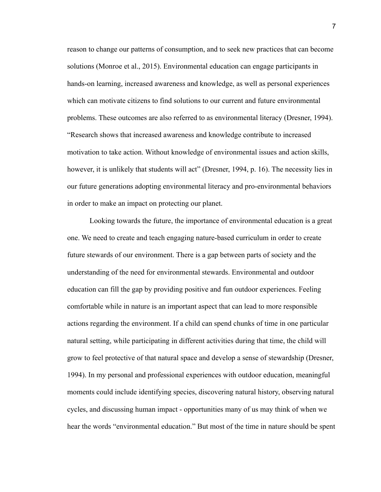reason to change our patterns of consumption, and to seek new practices that can become solutions (Monroe et al., 2015). Environmental education can engage participants in hands-on learning, increased awareness and knowledge, as well as personal experiences which can motivate citizens to find solutions to our current and future environmental problems. These outcomes are also referred to as environmental literacy (Dresner, 1994). "Research shows that increased awareness and knowledge contribute to increased motivation to take action. Without knowledge of environmental issues and action skills, however, it is unlikely that students will act" (Dresner, 1994, p. 16). The necessity lies in our future generations adopting environmental literacy and pro-environmental behaviors in order to make an impact on protecting our planet.

Looking towards the future, the importance of environmental education is a great one. We need to create and teach engaging nature-based curriculum in order to create future stewards of our environment. There is a gap between parts of society and the understanding of the need for environmental stewards. Environmental and outdoor education can fill the gap by providing positive and fun outdoor experiences. Feeling comfortable while in nature is an important aspect that can lead to more responsible actions regarding the environment. If a child can spend chunks of time in one particular natural setting, while participating in different activities during that time, the child will grow to feel protective of that natural space and develop a sense of stewardship (Dresner, 1994). In my personal and professional experiences with outdoor education, meaningful moments could include identifying species, discovering natural history, observing natural cycles, and discussing human impact - opportunities many of us may think of when we hear the words "environmental education." But most of the time in nature should be spent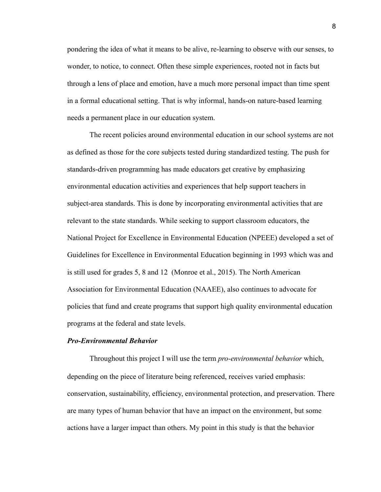pondering the idea of what it means to be alive, re-learning to observe with our senses, to wonder, to notice, to connect. Often these simple experiences, rooted not in facts but through a lens of place and emotion, have a much more personal impact than time spent in a formal educational setting. That is why informal, hands-on nature-based learning needs a permanent place in our education system.

The recent policies around environmental education in our school systems are not as defined as those for the core subjects tested during standardized testing. The push for standards-driven programming has made educators get creative by emphasizing environmental education activities and experiences that help support teachers in subject-area standards. This is done by incorporating environmental activities that are relevant to the state standards. While seeking to support classroom educators, the National Project for Excellence in Environmental Education (NPEEE) developed a set of Guidelines for Excellence in Environmental Education beginning in 1993 which was and is still used for grades 5, 8 and 12 (Monroe et al., 2015). The North American Association for Environmental Education (NAAEE), also continues to advocate for policies that fund and create programs that support high quality environmental education programs at the federal and state levels.

#### *Pro-Environmental Behavior*

Throughout this project I will use the term *pro-environmental behavior* which, depending on the piece of literature being referenced, receives varied emphasis: conservation, sustainability, efficiency, environmental protection, and preservation. There are many types of human behavior that have an impact on the environment, but some actions have a larger impact than others. My point in this study is that the behavior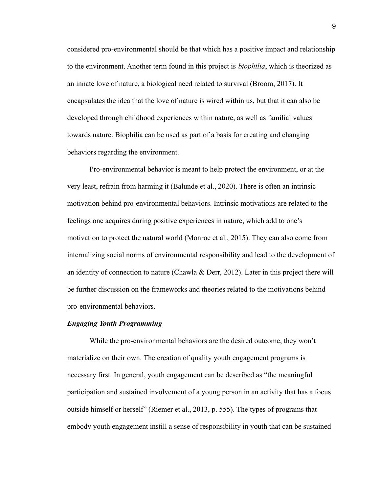considered pro-environmental should be that which has a positive impact and relationship to the environment. Another term found in this project is *biophilia*, which is theorized as an innate love of nature, a biological need related to survival (Broom, 2017). It encapsulates the idea that the love of nature is wired within us, but that it can also be developed through childhood experiences within nature, as well as familial values towards nature. Biophilia can be used as part of a basis for creating and changing behaviors regarding the environment.

Pro-environmental behavior is meant to help protect the environment, or at the very least, refrain from harming it (Balunde et al., 2020). There is often an intrinsic motivation behind pro-environmental behaviors. Intrinsic motivations are related to the feelings one acquires during positive experiences in nature, which add to one's motivation to protect the natural world (Monroe et al., 2015). They can also come from internalizing social norms of environmental responsibility and lead to the development of an identity of connection to nature (Chawla & Derr, 2012). Later in this project there will be further discussion on the frameworks and theories related to the motivations behind pro-environmental behaviors.

# *Engaging Youth Programming*

While the pro-environmental behaviors are the desired outcome, they won't materialize on their own. The creation of quality youth engagement programs is necessary first. In general, youth engagement can be described as "the meaningful participation and sustained involvement of a young person in an activity that has a focus outside himself or herself" (Riemer et al., 2013, p. 555). The types of programs that embody youth engagement instill a sense of responsibility in youth that can be sustained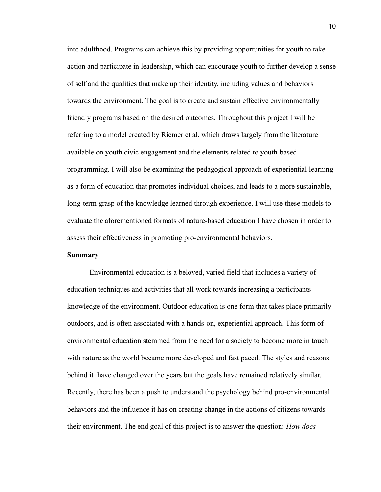into adulthood. Programs can achieve this by providing opportunities for youth to take action and participate in leadership, which can encourage youth to further develop a sense of self and the qualities that make up their identity, including values and behaviors towards the environment. The goal is to create and sustain effective environmentally friendly programs based on the desired outcomes. Throughout this project I will be referring to a model created by Riemer et al. which draws largely from the literature available on youth civic engagement and the elements related to youth-based programming. I will also be examining the pedagogical approach of experiential learning as a form of education that promotes individual choices, and leads to a more sustainable, long-term grasp of the knowledge learned through experience. I will use these models to evaluate the aforementioned formats of nature-based education I have chosen in order to assess their effectiveness in promoting pro-environmental behaviors.

# **Summary**

Environmental education is a beloved, varied field that includes a variety of education techniques and activities that all work towards increasing a participants knowledge of the environment. Outdoor education is one form that takes place primarily outdoors, and is often associated with a hands-on, experiential approach. This form of environmental education stemmed from the need for a society to become more in touch with nature as the world became more developed and fast paced. The styles and reasons behind it have changed over the years but the goals have remained relatively similar. Recently, there has been a push to understand the psychology behind pro-environmental behaviors and the influence it has on creating change in the actions of citizens towards their environment. The end goal of this project is to answer the question: *How does*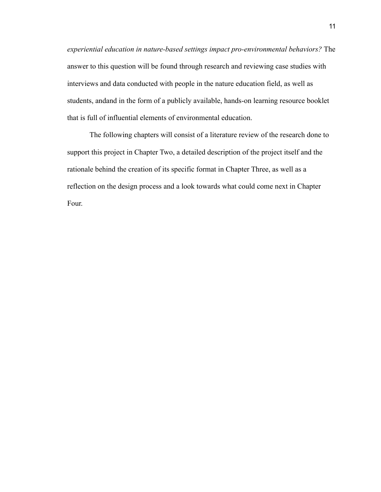*experiential education in nature-based settings impact pro-environmental behaviors?* The answer to this question will be found through research and reviewing case studies with interviews and data conducted with people in the nature education field, as well as students, andand in the form of a publicly available, hands-on learning resource booklet that is full of influential elements of environmental education.

The following chapters will consist of a literature review of the research done to support this project in Chapter Two, a detailed description of the project itself and the rationale behind the creation of its specific format in Chapter Three, as well as a reflection on the design process and a look towards what could come next in Chapter Four.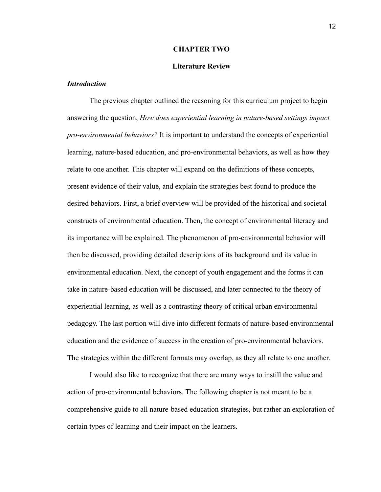#### **CHAPTER TWO**

# **Literature Review**

# *Introduction*

The previous chapter outlined the reasoning for this curriculum project to begin answering the question, *How does experiential learning in nature-based settings impact pro-environmental behaviors?* It is important to understand the concepts of experiential learning, nature-based education, and pro-environmental behaviors, as well as how they relate to one another. This chapter will expand on the definitions of these concepts, present evidence of their value, and explain the strategies best found to produce the desired behaviors. First, a brief overview will be provided of the historical and societal constructs of environmental education. Then, the concept of environmental literacy and its importance will be explained. The phenomenon of pro-environmental behavior will then be discussed, providing detailed descriptions of its background and its value in environmental education. Next, the concept of youth engagement and the forms it can take in nature-based education will be discussed, and later connected to the theory of experiential learning, as well as a contrasting theory of critical urban environmental pedagogy. The last portion will dive into different formats of nature-based environmental education and the evidence of success in the creation of pro-environmental behaviors. The strategies within the different formats may overlap, as they all relate to one another.

I would also like to recognize that there are many ways to instill the value and action of pro-environmental behaviors. The following chapter is not meant to be a comprehensive guide to all nature-based education strategies, but rather an exploration of certain types of learning and their impact on the learners.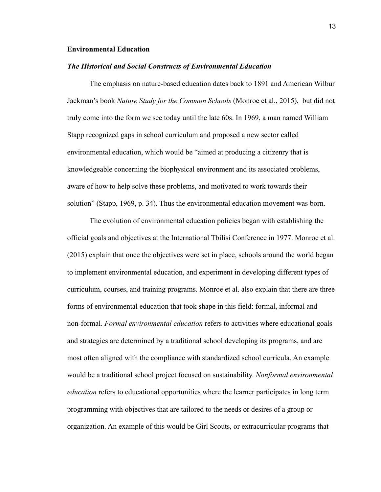# **Environmental Education**

#### *The Historical and Social Constructs of Environmental Education*

The emphasis on nature-based education dates back to 1891 and American Wilbur Jackman's book *Nature Study for the Common Schools* (Monroe et al., 2015), but did not truly come into the form we see today until the late 60s. In 1969, a man named William Stapp recognized gaps in school curriculum and proposed a new sector called environmental education, which would be "aimed at producing a citizenry that is knowledgeable concerning the biophysical environment and its associated problems, aware of how to help solve these problems, and motivated to work towards their solution" (Stapp, 1969, p. 34). Thus the environmental education movement was born.

The evolution of environmental education policies began with establishing the official goals and objectives at the International Tbilisi Conference in 1977. Monroe et al. (2015) explain that once the objectives were set in place, schools around the world began to implement environmental education, and experiment in developing different types of curriculum, courses, and training programs. Monroe et al. also explain that there are three forms of environmental education that took shape in this field: formal, informal and non-formal. *Formal environmental education* refers to activities where educational goals and strategies are determined by a traditional school developing its programs, and are most often aligned with the compliance with standardized school curricula. An example would be a traditional school project focused on sustainability. *Nonformal environmental education* refers to educational opportunities where the learner participates in long term programming with objectives that are tailored to the needs or desires of a group or organization. An example of this would be Girl Scouts, or extracurricular programs that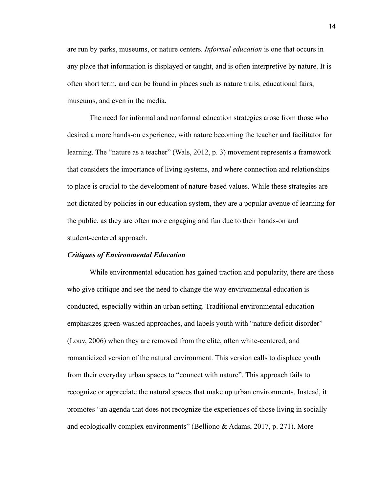are run by parks, museums, or nature centers. *Informal education* is one that occurs in any place that information is displayed or taught, and is often interpretive by nature. It is often short term, and can be found in places such as nature trails, educational fairs, museums, and even in the media.

The need for informal and nonformal education strategies arose from those who desired a more hands-on experience, with nature becoming the teacher and facilitator for learning. The "nature as a teacher" (Wals, 2012, p. 3) movement represents a framework that considers the importance of living systems, and where connection and relationships to place is crucial to the development of nature-based values. While these strategies are not dictated by policies in our education system, they are a popular avenue of learning for the public, as they are often more engaging and fun due to their hands-on and student-centered approach.

# *Critiques of Environmental Education*

While environmental education has gained traction and popularity, there are those who give critique and see the need to change the way environmental education is conducted, especially within an urban setting. Traditional environmental education emphasizes green-washed approaches, and labels youth with "nature deficit disorder" (Louv, 2006) when they are removed from the elite, often white-centered, and romanticized version of the natural environment. This version calls to displace youth from their everyday urban spaces to "connect with nature". This approach fails to recognize or appreciate the natural spaces that make up urban environments. Instead, it promotes "an agenda that does not recognize the experiences of those living in socially and ecologically complex environments" (Belliono & Adams, 2017, p. 271). More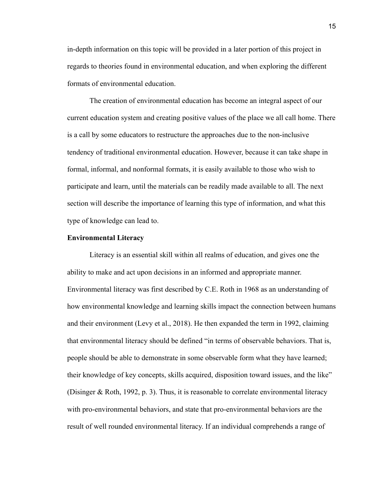in-depth information on this topic will be provided in a later portion of this project in regards to theories found in environmental education, and when exploring the different formats of environmental education.

The creation of environmental education has become an integral aspect of our current education system and creating positive values of the place we all call home. There is a call by some educators to restructure the approaches due to the non-inclusive tendency of traditional environmental education. However, because it can take shape in formal, informal, and nonformal formats, it is easily available to those who wish to participate and learn, until the materials can be readily made available to all. The next section will describe the importance of learning this type of information, and what this type of knowledge can lead to.

#### **Environmental Literacy**

Literacy is an essential skill within all realms of education, and gives one the ability to make and act upon decisions in an informed and appropriate manner. Environmental literacy was first described by C.E. Roth in 1968 as an understanding of how environmental knowledge and learning skills impact the connection between humans and their environment (Levy et al., 2018). He then expanded the term in 1992, claiming that environmental literacy should be defined "in terms of observable behaviors. That is, people should be able to demonstrate in some observable form what they have learned; their knowledge of key concepts, skills acquired, disposition toward issues, and the like" (Disinger & Roth, 1992, p. 3). Thus, it is reasonable to correlate environmental literacy with pro-environmental behaviors, and state that pro-environmental behaviors are the result of well rounded environmental literacy. If an individual comprehends a range of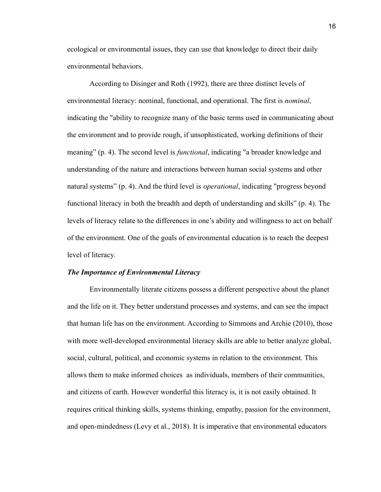ecological or environmental issues, they can use that knowledge to direct their daily environmental behaviors.

According to Disinger and Roth (1992), there are three distinct levels of environmental literacy: nominal, functional, and operational. The first is *nominal*, indicating the "ability to recognize many of the basic terms used in communicating about the environment and to provide rough, if unsophisticated, working definitions of their meaning" (p. 4). The second level is *functional*, indicating "a broader knowledge and understanding of the nature and interactions between human social systems and other natural systems" (p. 4). And the third level is *operational*, indicating "progress beyond functional literacy in both the breadth and depth of understanding and skills" (p. 4). The levels of literacy relate to the differences in one's ability and willingness to act on behalf of the environment. One of the goals of environmental education is to reach the deepest level of literacy.

#### *The Importance of Environmental Literacy*

Environmentally literate citizens possess a different perspective about the planet and the life on it. They better understand processes and systems, and can see the impact that human life has on the environment. According to Simmons and Archie (2010), those with more well-developed environmental literacy skills are able to better analyze global, social, cultural, political, and economic systems in relation to the environment. This allows them to make informed choices as individuals, members of their communities, and citizens of earth. However wonderful this literacy is, it is not easily obtained. It requires critical thinking skills, systems thinking, empathy, passion for the environment, and open-mindedness (Levy et al., 2018). It is imperative that environmental educators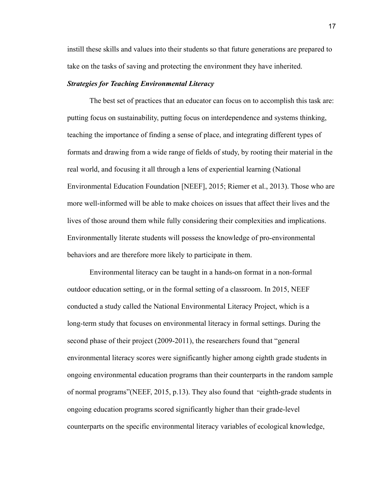instill these skills and values into their students so that future generations are prepared to take on the tasks of saving and protecting the environment they have inherited.

# *Strategies for Teaching Environmental Literacy*

The best set of practices that an educator can focus on to accomplish this task are: putting focus on sustainability, putting focus on interdependence and systems thinking, teaching the importance of finding a sense of place, and integrating different types of formats and drawing from a wide range of fields of study, by rooting their material in the real world, and focusing it all through a lens of experiential learning (National Environmental Education Foundation [NEEF], 2015; Riemer et al., 2013). Those who are more well-informed will be able to make choices on issues that affect their lives and the lives of those around them while fully considering their complexities and implications. Environmentally literate students will possess the knowledge of pro-environmental behaviors and are therefore more likely to participate in them.

Environmental literacy can be taught in a hands-on format in a non-formal outdoor education setting, or in the formal setting of a classroom. In 2015, NEEF conducted a study called the National Environmental Literacy Project, which is a long-term study that focuses on environmental literacy in formal settings. During the second phase of their project (2009-2011), the researchers found that "general environmental literacy scores were significantly higher among eighth grade students in ongoing environmental education programs than their counterparts in the random sample of normal programs"(NEEF, 2015, p.13). They also found that "eighth-grade students in ongoing education programs scored significantly higher than their grade-level counterparts on the specific environmental literacy variables of ecological knowledge,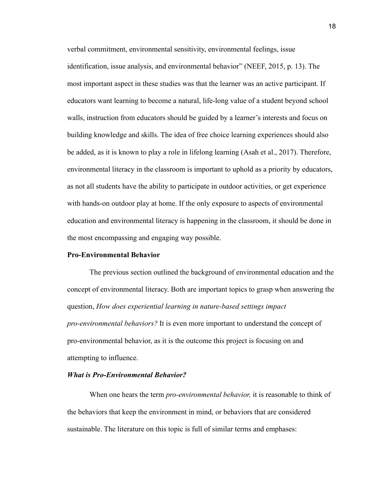verbal commitment, environmental sensitivity, environmental feelings, issue identification, issue analysis, and environmental behavior" (NEEF, 2015, p. 13). The most important aspect in these studies was that the learner was an active participant. If educators want learning to become a natural, life-long value of a student beyond school walls, instruction from educators should be guided by a learner's interests and focus on building knowledge and skills. The idea of free choice learning experiences should also be added, as it is known to play a role in lifelong learning (Asah et al., 2017). Therefore, environmental literacy in the classroom is important to uphold as a priority by educators, as not all students have the ability to participate in outdoor activities, or get experience with hands-on outdoor play at home. If the only exposure to aspects of environmental education and environmental literacy is happening in the classroom, it should be done in the most encompassing and engaging way possible.

#### **Pro-Environmental Behavior**

The previous section outlined the background of environmental education and the concept of environmental literacy. Both are important topics to grasp when answering the question, *How does experiential learning in nature-based settings impact pro-environmental behaviors?* It is even more important to understand the concept of pro-environmental behavior, as it is the outcome this project is focusing on and attempting to influence.

# *What is Pro-Environmental Behavior?*

When one hears the term *pro-environmental behavior,* it is reasonable to think of the behaviors that keep the environment in mind, or behaviors that are considered sustainable. The literature on this topic is full of similar terms and emphases: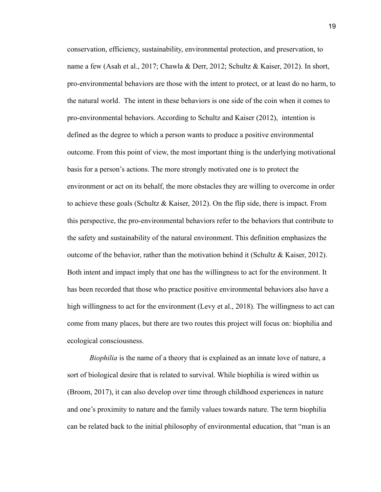conservation, efficiency, sustainability, environmental protection, and preservation, to name a few (Asah et al., 2017; Chawla & Derr, 2012; Schultz & Kaiser, 2012). In short, pro-environmental behaviors are those with the intent to protect, or at least do no harm, to the natural world. The intent in these behaviors is one side of the coin when it comes to pro-environmental behaviors. According to Schultz and Kaiser (2012), intention is defined as the degree to which a person wants to produce a positive environmental outcome. From this point of view, the most important thing is the underlying motivational basis for a person's actions. The more strongly motivated one is to protect the environment or act on its behalf, the more obstacles they are willing to overcome in order to achieve these goals (Schultz  $\&$  Kaiser, 2012). On the flip side, there is impact. From this perspective, the pro-environmental behaviors refer to the behaviors that contribute to the safety and sustainability of the natural environment. This definition emphasizes the outcome of the behavior, rather than the motivation behind it (Schultz & Kaiser, 2012). Both intent and impact imply that one has the willingness to act for the environment. It has been recorded that those who practice positive environmental behaviors also have a high willingness to act for the environment (Levy et al., 2018). The willingness to act can come from many places, but there are two routes this project will focus on: biophilia and ecological consciousness.

*Biophilia* is the name of a theory that is explained as an innate love of nature, a sort of biological desire that is related to survival. While biophilia is wired within us (Broom, 2017), it can also develop over time through childhood experiences in nature and one's proximity to nature and the family values towards nature. The term biophilia can be related back to the initial philosophy of environmental education, that "man is an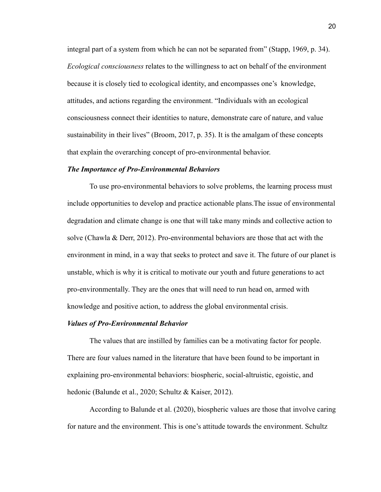integral part of a system from which he can not be separated from" (Stapp, 1969, p. 34). *Ecological consciousness* relates to the willingness to act on behalf of the environment because it is closely tied to ecological identity, and encompasses one's knowledge, attitudes, and actions regarding the environment. "Individuals with an ecological consciousness connect their identities to nature, demonstrate care of nature, and value sustainability in their lives" (Broom, 2017, p. 35). It is the amalgam of these concepts that explain the overarching concept of pro-environmental behavior.

#### *The Importance of Pro-Environmental Behaviors*

To use pro-environmental behaviors to solve problems, the learning process must include opportunities to develop and practice actionable plans.The issue of environmental degradation and climate change is one that will take many minds and collective action to solve (Chawla & Derr, 2012). Pro-environmental behaviors are those that act with the environment in mind, in a way that seeks to protect and save it. The future of our planet is unstable, which is why it is critical to motivate our youth and future generations to act pro-environmentally. They are the ones that will need to run head on, armed with knowledge and positive action, to address the global environmental crisis.

# *Values of Pro-Environmental Behavior*

The values that are instilled by families can be a motivating factor for people. There are four values named in the literature that have been found to be important in explaining pro-environmental behaviors: biospheric, social-altruistic, egoistic, and hedonic (Balunde et al., 2020; Schultz & Kaiser, 2012).

According to Balunde et al. (2020), biospheric values are those that involve caring for nature and the environment. This is one's attitude towards the environment. Schultz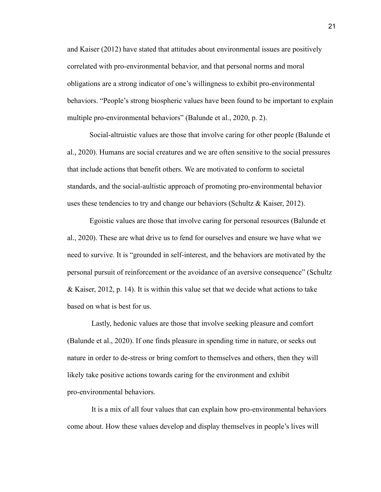and Kaiser (2012) have stated that attitudes about environmental issues are positively correlated with pro-environmental behavior, and that personal norms and moral obligations are a strong indicator of one's willingness to exhibit pro-environmental behaviors. "People's strong biospheric values have been found to be important to explain multiple pro-environmental behaviors" (Balunde et al., 2020, p. 2).

Social-altruistic values are those that involve caring for other people (Balunde et al., 2020). Humans are social creatures and we are often sensitive to the social pressures that include actions that benefit others. We are motivated to conform to societal standards, and the social-aultistic approach of promoting pro-environmental behavior uses these tendencies to try and change our behaviors (Schultz & Kaiser, 2012).

Egoistic values are those that involve caring for personal resources (Balunde et al., 2020). These are what drive us to fend for ourselves and ensure we have what we need to survive. It is "grounded in self-interest, and the behaviors are motivated by the personal pursuit of reinforcement or the avoidance of an aversive consequence" (Schultz & Kaiser, 2012, p. 14). It is within this value set that we decide what actions to take based on what is best for us.

Lastly, hedonic values are those that involve seeking pleasure and comfort (Balunde et al., 2020). If one finds pleasure in spending time in nature, or seeks out nature in order to de-stress or bring comfort to themselves and others, then they will likely take positive actions towards caring for the environment and exhibit pro-environmental behaviors.

It is a mix of all four values that can explain how pro-environmental behaviors come about. How these values develop and display themselves in people's lives will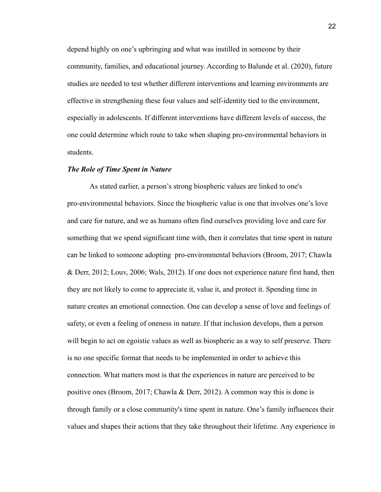depend highly on one's upbringing and what was instilled in someone by their community, families, and educational journey. According to Balunde et al. (2020), future studies are needed to test whether different interventions and learning environments are effective in strengthening these four values and self-identity tied to the environment, especially in adolescents. If different interventions have different levels of success, the one could determine which route to take when shaping pro-environmental behaviors in students.

# *The Role of Time Spent in Nature*

As stated earlier, a person's strong biospheric values are linked to one's pro-environmental behaviors. Since the biospheric value is one that involves one's love and care for nature, and we as humans often find ourselves providing love and care for something that we spend significant time with, then it correlates that time spent in nature can be linked to someone adopting pro-environmental behaviors (Broom, 2017; Chawla & Derr, 2012; Louv, 2006; Wals, 2012). If one does not experience nature first hand, then they are not likely to come to appreciate it, value it, and protect it. Spending time in nature creates an emotional connection. One can develop a sense of love and feelings of safety, or even a feeling of oneness in nature. If that inclusion develops, then a person will begin to act on egoistic values as well as biospheric as a way to self preserve. There is no one specific format that needs to be implemented in order to achieve this connection. What matters most is that the experiences in nature are perceived to be positive ones (Broom, 2017; Chawla & Derr, 2012). A common way this is done is through family or a close community's time spent in nature. One's family influences their values and shapes their actions that they take throughout their lifetime. Any experience in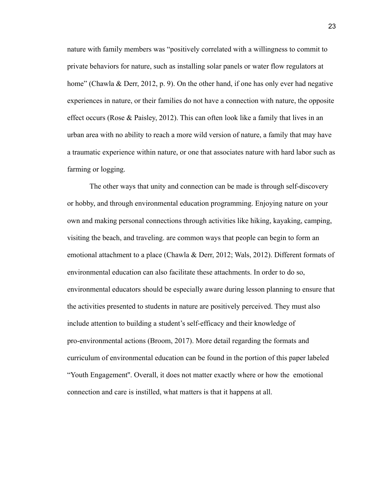nature with family members was "positively correlated with a willingness to commit to private behaviors for nature, such as installing solar panels or water flow regulators at home" (Chawla & Derr, 2012, p. 9). On the other hand, if one has only ever had negative experiences in nature, or their families do not have a connection with nature, the opposite effect occurs (Rose & Paisley, 2012). This can often look like a family that lives in an urban area with no ability to reach a more wild version of nature, a family that may have a traumatic experience within nature, or one that associates nature with hard labor such as farming or logging.

The other ways that unity and connection can be made is through self-discovery or hobby, and through environmental education programming. Enjoying nature on your own and making personal connections through activities like hiking, kayaking, camping, visiting the beach, and traveling. are common ways that people can begin to form an emotional attachment to a place (Chawla & Derr, 2012; Wals, 2012). Different formats of environmental education can also facilitate these attachments. In order to do so, environmental educators should be especially aware during lesson planning to ensure that the activities presented to students in nature are positively perceived. They must also include attention to building a student's self-efficacy and their knowledge of pro-environmental actions (Broom, 2017). More detail regarding the formats and curriculum of environmental education can be found in the portion of this paper labeled "Youth Engagement''. Overall, it does not matter exactly where or how the emotional connection and care is instilled, what matters is that it happens at all.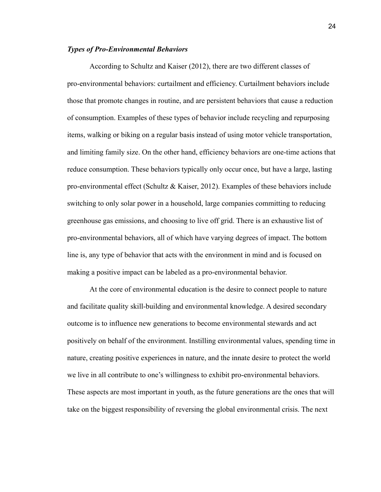#### *Types of Pro-Environmental Behaviors*

According to Schultz and Kaiser (2012), there are two different classes of pro-environmental behaviors: curtailment and efficiency. Curtailment behaviors include those that promote changes in routine, and are persistent behaviors that cause a reduction of consumption. Examples of these types of behavior include recycling and repurposing items, walking or biking on a regular basis instead of using motor vehicle transportation, and limiting family size. On the other hand, efficiency behaviors are one-time actions that reduce consumption. These behaviors typically only occur once, but have a large, lasting pro-environmental effect (Schultz & Kaiser, 2012). Examples of these behaviors include switching to only solar power in a household, large companies committing to reducing greenhouse gas emissions, and choosing to live off grid. There is an exhaustive list of pro-environmental behaviors, all of which have varying degrees of impact. The bottom line is, any type of behavior that acts with the environment in mind and is focused on making a positive impact can be labeled as a pro-environmental behavior.

At the core of environmental education is the desire to connect people to nature and facilitate quality skill-building and environmental knowledge. A desired secondary outcome is to influence new generations to become environmental stewards and act positively on behalf of the environment. Instilling environmental values, spending time in nature, creating positive experiences in nature, and the innate desire to protect the world we live in all contribute to one's willingness to exhibit pro-environmental behaviors. These aspects are most important in youth, as the future generations are the ones that will take on the biggest responsibility of reversing the global environmental crisis. The next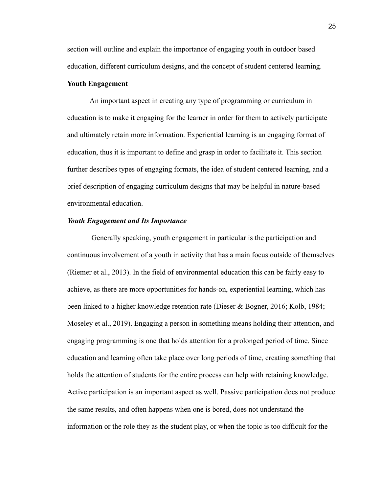section will outline and explain the importance of engaging youth in outdoor based education, different curriculum designs, and the concept of student centered learning.

# **Youth Engagement**

An important aspect in creating any type of programming or curriculum in education is to make it engaging for the learner in order for them to actively participate and ultimately retain more information. Experiential learning is an engaging format of education, thus it is important to define and grasp in order to facilitate it. This section further describes types of engaging formats, the idea of student centered learning, and a brief description of engaging curriculum designs that may be helpful in nature-based environmental education.

# *Youth Engagement and Its Importance*

Generally speaking, youth engagement in particular is the participation and continuous involvement of a youth in activity that has a main focus outside of themselves (Riemer et al., 2013). In the field of environmental education this can be fairly easy to achieve, as there are more opportunities for hands-on, experiential learning, which has been linked to a higher knowledge retention rate (Dieser & Bogner, 2016; Kolb, 1984; Moseley et al., 2019). Engaging a person in something means holding their attention, and engaging programming is one that holds attention for a prolonged period of time. Since education and learning often take place over long periods of time, creating something that holds the attention of students for the entire process can help with retaining knowledge. Active participation is an important aspect as well. Passive participation does not produce the same results, and often happens when one is bored, does not understand the information or the role they as the student play, or when the topic is too difficult for the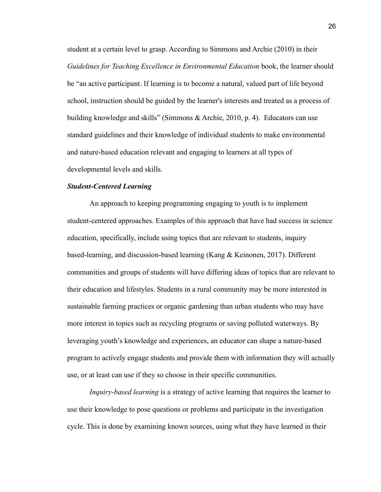student at a certain level to grasp. According to Simmons and Archie (2010) in their *Guidelines for Teaching Excellence in Environmental Education* book, the learner should be "an active participant. If learning is to become a natural, valued part of life beyond school, instruction should be guided by the learner's interests and treated as a process of building knowledge and skills" (Simmons & Archie, 2010, p. 4). Educators can use standard guidelines and their knowledge of individual students to make environmental and nature-based education relevant and engaging to learners at all types of developmental levels and skills.

#### *Student-Centered Learning*

An approach to keeping programming engaging to youth is to implement student-centered approaches. Examples of this approach that have had success in science education, specifically, include using topics that are relevant to students, inquiry based-learning, and discussion-based learning (Kang & Keinonen, 2017). Different communities and groups of students will have differing ideas of topics that are relevant to their education and lifestyles. Students in a rural community may be more interested in sustainable farming practices or organic gardening than urban students who may have more interest in topics such as recycling programs or saving polluted waterways. By leveraging youth's knowledge and experiences, an educator can shape a nature-based program to actively engage students and provide them with information they will actually use, or at least can use if they so choose in their specific communities.

*Inquiry-based learning* is a strategy of active learning that requires the learner to use their knowledge to pose questions or problems and participate in the investigation cycle. This is done by examining known sources, using what they have learned in their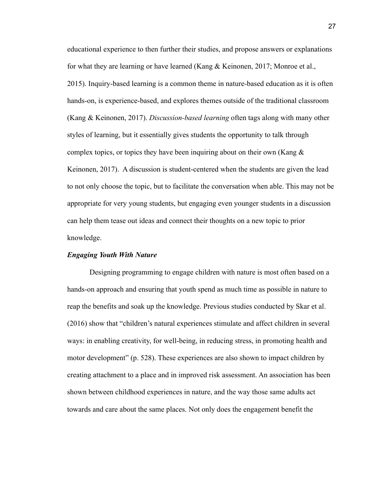educational experience to then further their studies, and propose answers or explanations for what they are learning or have learned (Kang & Keinonen, 2017; Monroe et al., 2015). Inquiry-based learning is a common theme in nature-based education as it is often hands-on, is experience-based, and explores themes outside of the traditional classroom (Kang & Keinonen, 2017). *Discussion-based learning* often tags along with many other styles of learning, but it essentially gives students the opportunity to talk through complex topics, or topics they have been inquiring about on their own (Kang  $\&$ Keinonen, 2017). A discussion is student-centered when the students are given the lead to not only choose the topic, but to facilitate the conversation when able. This may not be appropriate for very young students, but engaging even younger students in a discussion can help them tease out ideas and connect their thoughts on a new topic to prior knowledge.

# *Engaging Youth With Nature*

Designing programming to engage children with nature is most often based on a hands-on approach and ensuring that youth spend as much time as possible in nature to reap the benefits and soak up the knowledge. Previous studies conducted by Skar et al. (2016) show that "children's natural experiences stimulate and affect children in several ways: in enabling creativity, for well-being, in reducing stress, in promoting health and motor development" (p. 528). These experiences are also shown to impact children by creating attachment to a place and in improved risk assessment. An association has been shown between childhood experiences in nature, and the way those same adults act towards and care about the same places. Not only does the engagement benefit the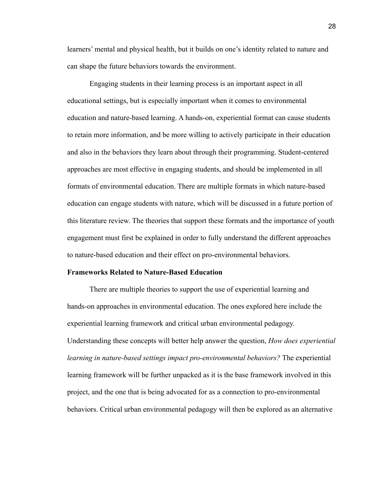learners' mental and physical health, but it builds on one's identity related to nature and can shape the future behaviors towards the environment.

Engaging students in their learning process is an important aspect in all educational settings, but is especially important when it comes to environmental education and nature-based learning. A hands-on, experiential format can cause students to retain more information, and be more willing to actively participate in their education and also in the behaviors they learn about through their programming. Student-centered approaches are most effective in engaging students, and should be implemented in all formats of environmental education. There are multiple formats in which nature-based education can engage students with nature, which will be discussed in a future portion of this literature review. The theories that support these formats and the importance of youth engagement must first be explained in order to fully understand the different approaches to nature-based education and their effect on pro-environmental behaviors.

#### **Frameworks Related to Nature-Based Education**

There are multiple theories to support the use of experiential learning and hands-on approaches in environmental education. The ones explored here include the experiential learning framework and critical urban environmental pedagogy. Understanding these concepts will better help answer the question, *How does experiential learning in nature-based settings impact pro-environmental behaviors?* The experiential learning framework will be further unpacked as it is the base framework involved in this project, and the one that is being advocated for as a connection to pro-environmental behaviors. Critical urban environmental pedagogy will then be explored as an alternative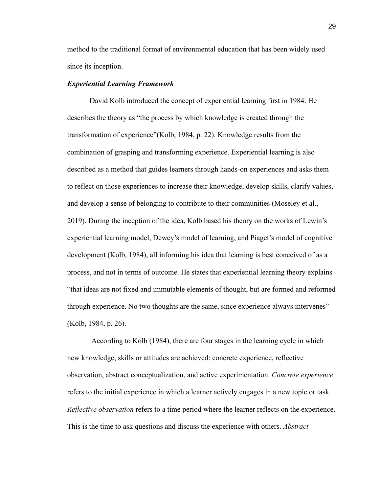method to the traditional format of environmental education that has been widely used since its inception.

# *Experiential Learning Framework*

David Kolb introduced the concept of experiential learning first in 1984. He describes the theory as "the process by which knowledge is created through the transformation of experience"(Kolb, 1984, p. 22). Knowledge results from the combination of grasping and transforming experience. Experiential learning is also described as a method that guides learners through hands-on experiences and asks them to reflect on those experiences to increase their knowledge, develop skills, clarify values, and develop a sense of belonging to contribute to their communities (Moseley et al., 2019). During the inception of the idea, Kolb based his theory on the works of Lewin's experiential learning model, Dewey's model of learning, and Piaget's model of cognitive development (Kolb, 1984), all informing his idea that learning is best conceived of as a process, and not in terms of outcome. He states that experiential learning theory explains "that ideas are not fixed and immutable elements of thought, but are formed and reformed through experience. No two thoughts are the same, since experience always intervenes" (Kolb, 1984, p. 26).

According to Kolb (1984), there are four stages in the learning cycle in which new knowledge, skills or attitudes are achieved: concrete experience, reflective observation, abstract conceptualization, and active experimentation. *Concrete experience* refers to the initial experience in which a learner actively engages in a new topic or task. *Reflective observation* refers to a time period where the learner reflects on the experience. This is the time to ask questions and discuss the experience with others. *Abstract*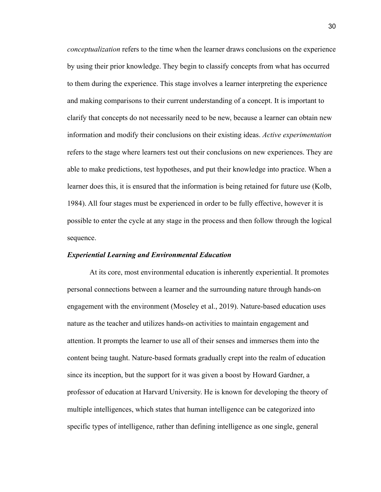*conceptualization* refers to the time when the learner draws conclusions on the experience by using their prior knowledge. They begin to classify concepts from what has occurred to them during the experience. This stage involves a learner interpreting the experience and making comparisons to their current understanding of a concept. It is important to clarify that concepts do not necessarily need to be new, because a learner can obtain new information and modify their conclusions on their existing ideas. *Active experimentation* refers to the stage where learners test out their conclusions on new experiences. They are able to make predictions, test hypotheses, and put their knowledge into practice. When a learner does this, it is ensured that the information is being retained for future use (Kolb, 1984). All four stages must be experienced in order to be fully effective, however it is possible to enter the cycle at any stage in the process and then follow through the logical sequence.

## *Experiential Learning and Environmental Education*

At its core, most environmental education is inherently experiential. It promotes personal connections between a learner and the surrounding nature through hands-on engagement with the environment (Moseley et al., 2019). Nature-based education uses nature as the teacher and utilizes hands-on activities to maintain engagement and attention. It prompts the learner to use all of their senses and immerses them into the content being taught. Nature-based formats gradually crept into the realm of education since its inception, but the support for it was given a boost by Howard Gardner, a professor of education at Harvard University. He is known for developing the theory of multiple intelligences, which states that human intelligence can be categorized into specific types of intelligence, rather than defining intelligence as one single, general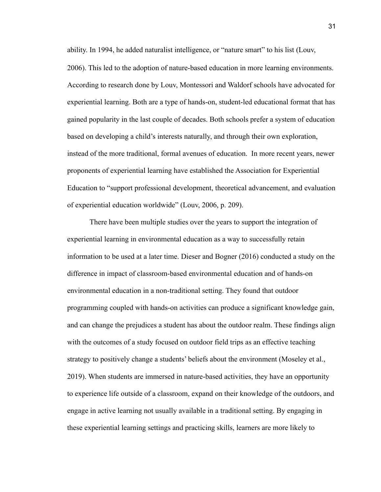ability. In 1994, he added naturalist intelligence, or "nature smart" to his list (Louv, 2006). This led to the adoption of nature-based education in more learning environments. According to research done by Louv, Montessori and Waldorf schools have advocated for experiential learning. Both are a type of hands-on, student-led educational format that has gained popularity in the last couple of decades. Both schools prefer a system of education based on developing a child's interests naturally, and through their own exploration, instead of the more traditional, formal avenues of education. In more recent years, newer proponents of experiential learning have established the Association for Experiential Education to "support professional development, theoretical advancement, and evaluation of experiential education worldwide" (Louv, 2006, p. 209).

There have been multiple studies over the years to support the integration of experiential learning in environmental education as a way to successfully retain information to be used at a later time. Dieser and Bogner (2016) conducted a study on the difference in impact of classroom-based environmental education and of hands-on environmental education in a non-traditional setting. They found that outdoor programming coupled with hands-on activities can produce a significant knowledge gain, and can change the prejudices a student has about the outdoor realm. These findings align with the outcomes of a study focused on outdoor field trips as an effective teaching strategy to positively change a students' beliefs about the environment (Moseley et al., 2019). When students are immersed in nature-based activities, they have an opportunity to experience life outside of a classroom, expand on their knowledge of the outdoors, and engage in active learning not usually available in a traditional setting. By engaging in these experiential learning settings and practicing skills, learners are more likely to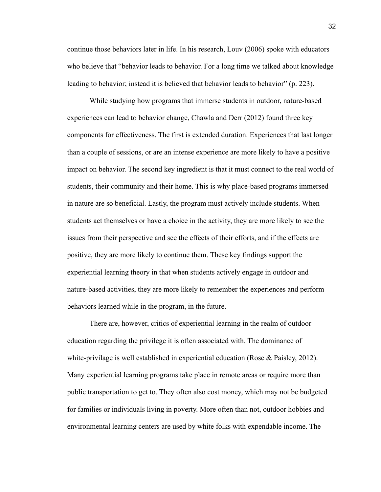continue those behaviors later in life. In his research, Louv (2006) spoke with educators who believe that "behavior leads to behavior. For a long time we talked about knowledge leading to behavior; instead it is believed that behavior leads to behavior" (p. 223).

While studying how programs that immerse students in outdoor, nature-based experiences can lead to behavior change, Chawla and Derr (2012) found three key components for effectiveness. The first is extended duration. Experiences that last longer than a couple of sessions, or are an intense experience are more likely to have a positive impact on behavior. The second key ingredient is that it must connect to the real world of students, their community and their home. This is why place-based programs immersed in nature are so beneficial. Lastly, the program must actively include students. When students act themselves or have a choice in the activity, they are more likely to see the issues from their perspective and see the effects of their efforts, and if the effects are positive, they are more likely to continue them. These key findings support the experiential learning theory in that when students actively engage in outdoor and nature-based activities, they are more likely to remember the experiences and perform behaviors learned while in the program, in the future.

There are, however, critics of experiential learning in the realm of outdoor education regarding the privilege it is often associated with. The dominance of white-privilage is well established in experiential education (Rose & Paisley, 2012). Many experiential learning programs take place in remote areas or require more than public transportation to get to. They often also cost money, which may not be budgeted for families or individuals living in poverty. More often than not, outdoor hobbies and environmental learning centers are used by white folks with expendable income. The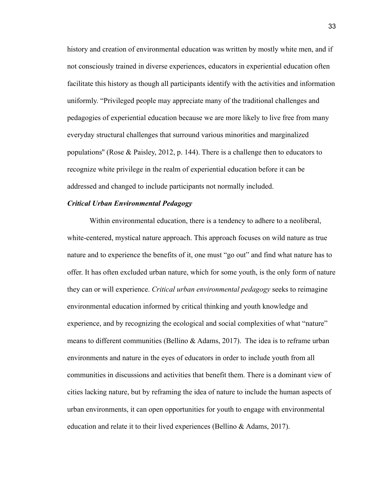history and creation of environmental education was written by mostly white men, and if not consciously trained in diverse experiences, educators in experiential education often facilitate this history as though all participants identify with the activities and information uniformly. "Privileged people may appreciate many of the traditional challenges and pedagogies of experiential education because we are more likely to live free from many everyday structural challenges that surround various minorities and marginalized populations" (Rose & Paisley, 2012, p. 144). There is a challenge then to educators to recognize white privilege in the realm of experiential education before it can be addressed and changed to include participants not normally included.

#### *Critical Urban Environmental Pedagogy*

Within environmental education, there is a tendency to adhere to a neoliberal, white-centered, mystical nature approach. This approach focuses on wild nature as true nature and to experience the benefits of it, one must "go out" and find what nature has to offer. It has often excluded urban nature, which for some youth, is the only form of nature they can or will experience. *Critical urban environmental pedagogy* seeks to reimagine environmental education informed by critical thinking and youth knowledge and experience, and by recognizing the ecological and social complexities of what "nature" means to different communities (Bellino  $\&$  Adams, 2017). The idea is to reframe urban environments and nature in the eyes of educators in order to include youth from all communities in discussions and activities that benefit them. There is a dominant view of cities lacking nature, but by reframing the idea of nature to include the human aspects of urban environments, it can open opportunities for youth to engage with environmental education and relate it to their lived experiences (Bellino & Adams, 2017).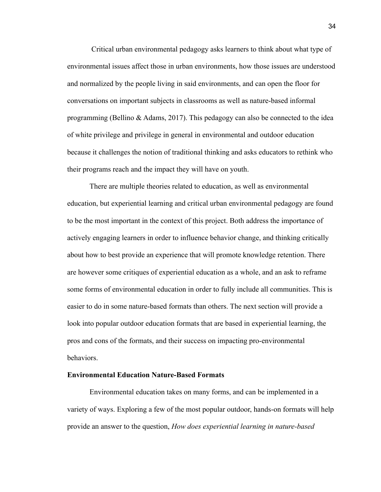Critical urban environmental pedagogy asks learners to think about what type of environmental issues affect those in urban environments, how those issues are understood and normalized by the people living in said environments, and can open the floor for conversations on important subjects in classrooms as well as nature-based informal programming (Bellino & Adams, 2017). This pedagogy can also be connected to the idea of white privilege and privilege in general in environmental and outdoor education because it challenges the notion of traditional thinking and asks educators to rethink who their programs reach and the impact they will have on youth.

There are multiple theories related to education, as well as environmental education, but experiential learning and critical urban environmental pedagogy are found to be the most important in the context of this project. Both address the importance of actively engaging learners in order to influence behavior change, and thinking critically about how to best provide an experience that will promote knowledge retention. There are however some critiques of experiential education as a whole, and an ask to reframe some forms of environmental education in order to fully include all communities. This is easier to do in some nature-based formats than others. The next section will provide a look into popular outdoor education formats that are based in experiential learning, the pros and cons of the formats, and their success on impacting pro-environmental behaviors.

#### **Environmental Education Nature-Based Formats**

Environmental education takes on many forms, and can be implemented in a variety of ways. Exploring a few of the most popular outdoor, hands-on formats will help provide an answer to the question, *How does experiential learning in nature-based*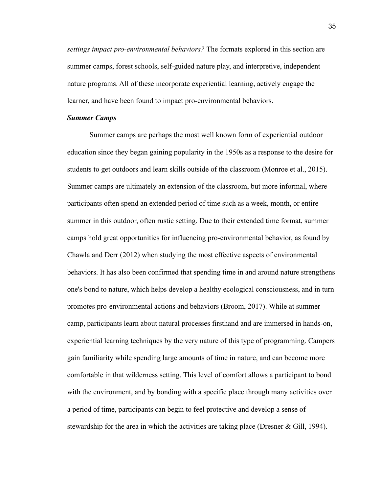*settings impact pro-environmental behaviors?* The formats explored in this section are summer camps, forest schools, self-guided nature play, and interpretive, independent nature programs. All of these incorporate experiential learning, actively engage the learner, and have been found to impact pro-environmental behaviors.

#### *Summer Camps*

Summer camps are perhaps the most well known form of experiential outdoor education since they began gaining popularity in the 1950s as a response to the desire for students to get outdoors and learn skills outside of the classroom (Monroe et al., 2015). Summer camps are ultimately an extension of the classroom, but more informal, where participants often spend an extended period of time such as a week, month, or entire summer in this outdoor, often rustic setting. Due to their extended time format, summer camps hold great opportunities for influencing pro-environmental behavior, as found by Chawla and Derr (2012) when studying the most effective aspects of environmental behaviors. It has also been confirmed that spending time in and around nature strengthens one's bond to nature, which helps develop a healthy ecological consciousness, and in turn promotes pro-environmental actions and behaviors (Broom, 2017). While at summer camp, participants learn about natural processes firsthand and are immersed in hands-on, experiential learning techniques by the very nature of this type of programming. Campers gain familiarity while spending large amounts of time in nature, and can become more comfortable in that wilderness setting. This level of comfort allows a participant to bond with the environment, and by bonding with a specific place through many activities over a period of time, participants can begin to feel protective and develop a sense of stewardship for the area in which the activities are taking place (Dresner & Gill, 1994).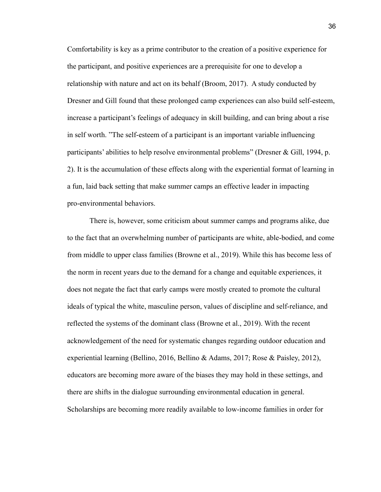Comfortability is key as a prime contributor to the creation of a positive experience for the participant, and positive experiences are a prerequisite for one to develop a relationship with nature and act on its behalf (Broom, 2017). A study conducted by Dresner and Gill found that these prolonged camp experiences can also build self-esteem, increase a participant's feelings of adequacy in skill building, and can bring about a rise in self worth. "The self-esteem of a participant is an important variable influencing participants' abilities to help resolve environmental problems" (Dresner & Gill, 1994, p. 2). It is the accumulation of these effects along with the experiential format of learning in a fun, laid back setting that make summer camps an effective leader in impacting pro-environmental behaviors.

There is, however, some criticism about summer camps and programs alike, due to the fact that an overwhelming number of participants are white, able-bodied, and come from middle to upper class families (Browne et al., 2019). While this has become less of the norm in recent years due to the demand for a change and equitable experiences, it does not negate the fact that early camps were mostly created to promote the cultural ideals of typical the white, masculine person, values of discipline and self-reliance, and reflected the systems of the dominant class (Browne et al., 2019). With the recent acknowledgement of the need for systematic changes regarding outdoor education and experiential learning (Bellino, 2016, Bellino & Adams, 2017; Rose & Paisley, 2012), educators are becoming more aware of the biases they may hold in these settings, and there are shifts in the dialogue surrounding environmental education in general. Scholarships are becoming more readily available to low-income families in order for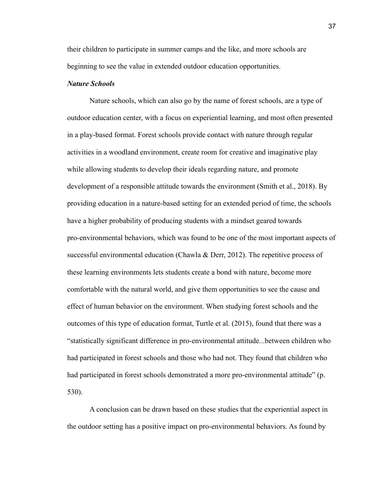their children to participate in summer camps and the like, and more schools are beginning to see the value in extended outdoor education opportunities.

# *Nature Schools*

Nature schools, which can also go by the name of forest schools, are a type of outdoor education center, with a focus on experiential learning, and most often presented in a play-based format. Forest schools provide contact with nature through regular activities in a woodland environment, create room for creative and imaginative play while allowing students to develop their ideals regarding nature, and promote development of a responsible attitude towards the environment (Smith et al., 2018). By providing education in a nature-based setting for an extended period of time, the schools have a higher probability of producing students with a mindset geared towards pro-environmental behaviors, which was found to be one of the most important aspects of successful environmental education (Chawla & Derr, 2012). The repetitive process of these learning environments lets students create a bond with nature, become more comfortable with the natural world, and give them opportunities to see the cause and effect of human behavior on the environment. When studying forest schools and the outcomes of this type of education format, Turtle et al. (2015), found that there was a "statistically significant difference in pro-environmental attitude...between children who had participated in forest schools and those who had not. They found that children who had participated in forest schools demonstrated a more pro-environmental attitude" (p. 530).

A conclusion can be drawn based on these studies that the experiential aspect in the outdoor setting has a positive impact on pro-environmental behaviors. As found by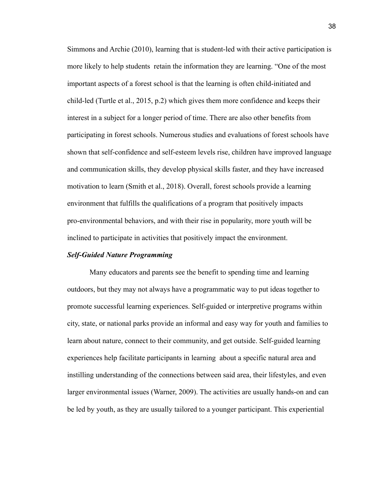Simmons and Archie (2010), learning that is student-led with their active participation is more likely to help students retain the information they are learning. "One of the most important aspects of a forest school is that the learning is often child-initiated and child-led (Turtle et al., 2015, p.2) which gives them more confidence and keeps their interest in a subject for a longer period of time. There are also other benefits from participating in forest schools. Numerous studies and evaluations of forest schools have shown that self-confidence and self-esteem levels rise, children have improved language and communication skills, they develop physical skills faster, and they have increased motivation to learn (Smith et al., 2018). Overall, forest schools provide a learning environment that fulfills the qualifications of a program that positively impacts pro-environmental behaviors, and with their rise in popularity, more youth will be inclined to participate in activities that positively impact the environment.

## *Self-Guided Nature Programming*

Many educators and parents see the benefit to spending time and learning outdoors, but they may not always have a programmatic way to put ideas together to promote successful learning experiences. Self-guided or interpretive programs within city, state, or national parks provide an informal and easy way for youth and families to learn about nature, connect to their community, and get outside. Self-guided learning experiences help facilitate participants in learning about a specific natural area and instilling understanding of the connections between said area, their lifestyles, and even larger environmental issues (Warner, 2009). The activities are usually hands-on and can be led by youth, as they are usually tailored to a younger participant. This experiential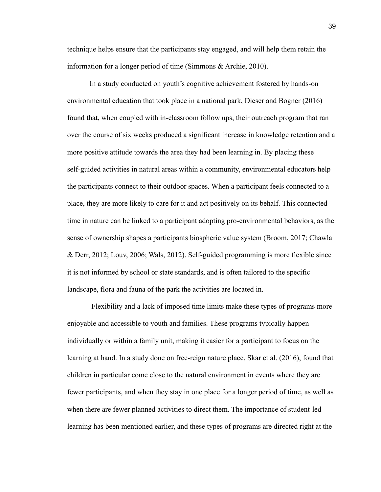technique helps ensure that the participants stay engaged, and will help them retain the information for a longer period of time (Simmons & Archie, 2010).

In a study conducted on youth's cognitive achievement fostered by hands-on environmental education that took place in a national park, Dieser and Bogner (2016) found that, when coupled with in-classroom follow ups, their outreach program that ran over the course of six weeks produced a significant increase in knowledge retention and a more positive attitude towards the area they had been learning in. By placing these self-guided activities in natural areas within a community, environmental educators help the participants connect to their outdoor spaces. When a participant feels connected to a place, they are more likely to care for it and act positively on its behalf. This connected time in nature can be linked to a participant adopting pro-environmental behaviors, as the sense of ownership shapes a participants biospheric value system (Broom, 2017; Chawla & Derr, 2012; Louv, 2006; Wals, 2012). Self-guided programming is more flexible since it is not informed by school or state standards, and is often tailored to the specific landscape, flora and fauna of the park the activities are located in.

Flexibility and a lack of imposed time limits make these types of programs more enjoyable and accessible to youth and families. These programs typically happen individually or within a family unit, making it easier for a participant to focus on the learning at hand. In a study done on free-reign nature place, Skar et al. (2016), found that children in particular come close to the natural environment in events where they are fewer participants, and when they stay in one place for a longer period of time, as well as when there are fewer planned activities to direct them. The importance of student-led learning has been mentioned earlier, and these types of programs are directed right at the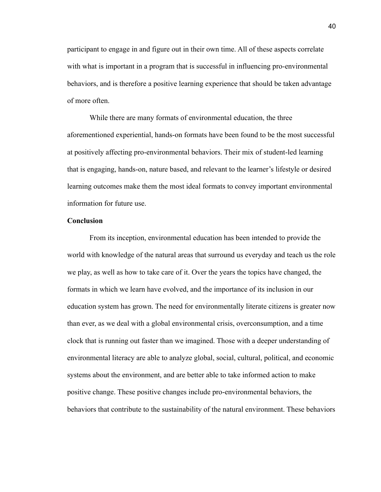participant to engage in and figure out in their own time. All of these aspects correlate with what is important in a program that is successful in influencing pro-environmental behaviors, and is therefore a positive learning experience that should be taken advantage of more often.

While there are many formats of environmental education, the three aforementioned experiential, hands-on formats have been found to be the most successful at positively affecting pro-environmental behaviors. Their mix of student-led learning that is engaging, hands-on, nature based, and relevant to the learner's lifestyle or desired learning outcomes make them the most ideal formats to convey important environmental information for future use.

# **Conclusion**

From its inception, environmental education has been intended to provide the world with knowledge of the natural areas that surround us everyday and teach us the role we play, as well as how to take care of it. Over the years the topics have changed, the formats in which we learn have evolved, and the importance of its inclusion in our education system has grown. The need for environmentally literate citizens is greater now than ever, as we deal with a global environmental crisis, overconsumption, and a time clock that is running out faster than we imagined. Those with a deeper understanding of environmental literacy are able to analyze global, social, cultural, political, and economic systems about the environment, and are better able to take informed action to make positive change. These positive changes include pro-environmental behaviors, the behaviors that contribute to the sustainability of the natural environment. These behaviors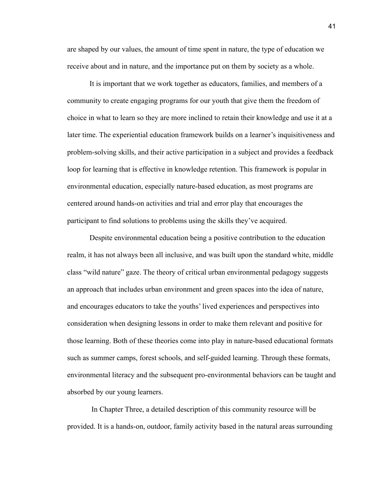are shaped by our values, the amount of time spent in nature, the type of education we receive about and in nature, and the importance put on them by society as a whole.

It is important that we work together as educators, families, and members of a community to create engaging programs for our youth that give them the freedom of choice in what to learn so they are more inclined to retain their knowledge and use it at a later time. The experiential education framework builds on a learner's inquisitiveness and problem-solving skills, and their active participation in a subject and provides a feedback loop for learning that is effective in knowledge retention. This framework is popular in environmental education, especially nature-based education, as most programs are centered around hands-on activities and trial and error play that encourages the participant to find solutions to problems using the skills they've acquired.

Despite environmental education being a positive contribution to the education realm, it has not always been all inclusive, and was built upon the standard white, middle class "wild nature" gaze. The theory of critical urban environmental pedagogy suggests an approach that includes urban environment and green spaces into the idea of nature, and encourages educators to take the youths' lived experiences and perspectives into consideration when designing lessons in order to make them relevant and positive for those learning. Both of these theories come into play in nature-based educational formats such as summer camps, forest schools, and self-guided learning. Through these formats, environmental literacy and the subsequent pro-environmental behaviors can be taught and absorbed by our young learners.

In Chapter Three, a detailed description of this community resource will be provided. It is a hands-on, outdoor, family activity based in the natural areas surrounding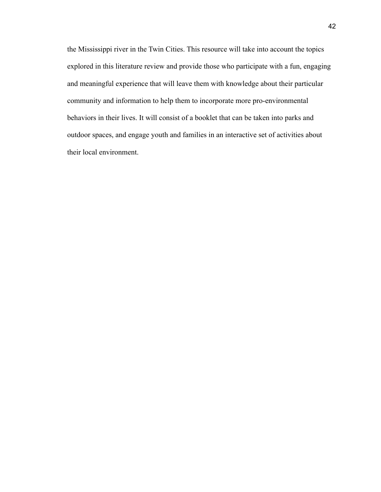the Mississippi river in the Twin Cities. This resource will take into account the topics explored in this literature review and provide those who participate with a fun, engaging and meaningful experience that will leave them with knowledge about their particular community and information to help them to incorporate more pro-environmental behaviors in their lives. It will consist of a booklet that can be taken into parks and outdoor spaces, and engage youth and families in an interactive set of activities about their local environment.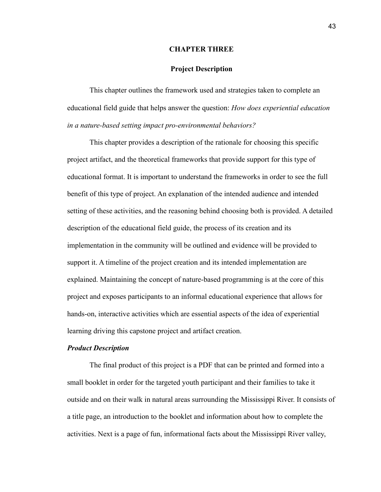### **CHAPTER THREE**

# **Project Description**

This chapter outlines the framework used and strategies taken to complete an educational field guide that helps answer the question: *How does experiential education in a nature-based setting impact pro-environmental behaviors?*

This chapter provides a description of the rationale for choosing this specific project artifact, and the theoretical frameworks that provide support for this type of educational format. It is important to understand the frameworks in order to see the full benefit of this type of project. An explanation of the intended audience and intended setting of these activities, and the reasoning behind choosing both is provided. A detailed description of the educational field guide, the process of its creation and its implementation in the community will be outlined and evidence will be provided to support it. A timeline of the project creation and its intended implementation are explained. Maintaining the concept of nature-based programming is at the core of this project and exposes participants to an informal educational experience that allows for hands-on, interactive activities which are essential aspects of the idea of experiential learning driving this capstone project and artifact creation.

# *Product Description*

The final product of this project is a PDF that can be printed and formed into a small booklet in order for the targeted youth participant and their families to take it outside and on their walk in natural areas surrounding the Mississippi River. It consists of a title page, an introduction to the booklet and information about how to complete the activities. Next is a page of fun, informational facts about the Mississippi River valley,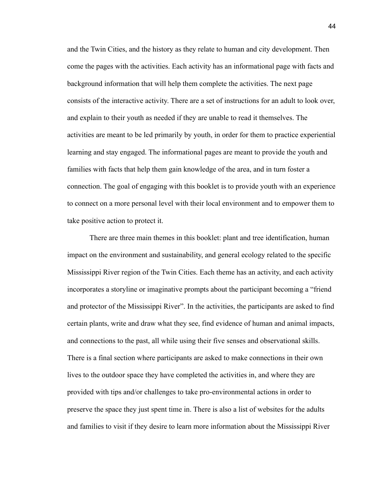and the Twin Cities, and the history as they relate to human and city development. Then come the pages with the activities. Each activity has an informational page with facts and background information that will help them complete the activities. The next page consists of the interactive activity. There are a set of instructions for an adult to look over, and explain to their youth as needed if they are unable to read it themselves. The activities are meant to be led primarily by youth, in order for them to practice experiential learning and stay engaged. The informational pages are meant to provide the youth and families with facts that help them gain knowledge of the area, and in turn foster a connection. The goal of engaging with this booklet is to provide youth with an experience to connect on a more personal level with their local environment and to empower them to take positive action to protect it.

There are three main themes in this booklet: plant and tree identification, human impact on the environment and sustainability, and general ecology related to the specific Mississippi River region of the Twin Cities. Each theme has an activity, and each activity incorporates a storyline or imaginative prompts about the participant becoming a "friend and protector of the Mississippi River". In the activities, the participants are asked to find certain plants, write and draw what they see, find evidence of human and animal impacts, and connections to the past, all while using their five senses and observational skills. There is a final section where participants are asked to make connections in their own lives to the outdoor space they have completed the activities in, and where they are provided with tips and/or challenges to take pro-environmental actions in order to preserve the space they just spent time in. There is also a list of websites for the adults and families to visit if they desire to learn more information about the Mississippi River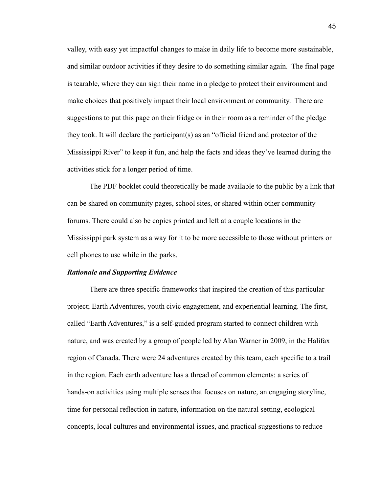valley, with easy yet impactful changes to make in daily life to become more sustainable, and similar outdoor activities if they desire to do something similar again. The final page is tearable, where they can sign their name in a pledge to protect their environment and make choices that positively impact their local environment or community. There are suggestions to put this page on their fridge or in their room as a reminder of the pledge they took. It will declare the participant(s) as an "official friend and protector of the Mississippi River" to keep it fun, and help the facts and ideas they've learned during the activities stick for a longer period of time.

The PDF booklet could theoretically be made available to the public by a link that can be shared on community pages, school sites, or shared within other community forums. There could also be copies printed and left at a couple locations in the Mississippi park system as a way for it to be more accessible to those without printers or cell phones to use while in the parks.

#### *Rationale and Supporting Evidence*

There are three specific frameworks that inspired the creation of this particular project; Earth Adventures, youth civic engagement, and experiential learning. The first, called "Earth Adventures," is a self-guided program started to connect children with nature, and was created by a group of people led by Alan Warner in 2009, in the Halifax region of Canada. There were 24 adventures created by this team, each specific to a trail in the region. Each earth adventure has a thread of common elements: a series of hands-on activities using multiple senses that focuses on nature, an engaging storyline, time for personal reflection in nature, information on the natural setting, ecological concepts, local cultures and environmental issues, and practical suggestions to reduce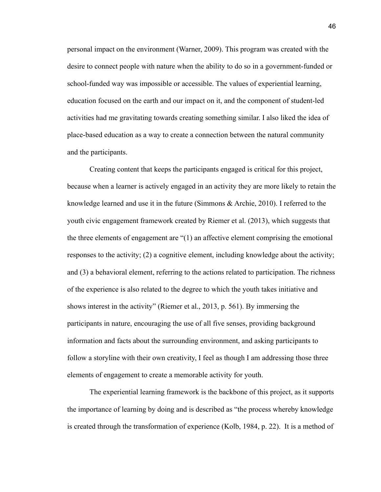personal impact on the environment (Warner, 2009). This program was created with the desire to connect people with nature when the ability to do so in a government-funded or school-funded way was impossible or accessible. The values of experiential learning, education focused on the earth and our impact on it, and the component of student-led activities had me gravitating towards creating something similar. I also liked the idea of place-based education as a way to create a connection between the natural community and the participants.

Creating content that keeps the participants engaged is critical for this project, because when a learner is actively engaged in an activity they are more likely to retain the knowledge learned and use it in the future (Simmons & Archie, 2010). I referred to the youth civic engagement framework created by Riemer et al. (2013), which suggests that the three elements of engagement are "(1) an affective element comprising the emotional responses to the activity; (2) a cognitive element, including knowledge about the activity; and (3) a behavioral element, referring to the actions related to participation. The richness of the experience is also related to the degree to which the youth takes initiative and shows interest in the activity" (Riemer et al., 2013, p. 561). By immersing the participants in nature, encouraging the use of all five senses, providing background information and facts about the surrounding environment, and asking participants to follow a storyline with their own creativity, I feel as though I am addressing those three elements of engagement to create a memorable activity for youth.

The experiential learning framework is the backbone of this project, as it supports the importance of learning by doing and is described as "the process whereby knowledge is created through the transformation of experience (Kolb, 1984, p. 22). It is a method of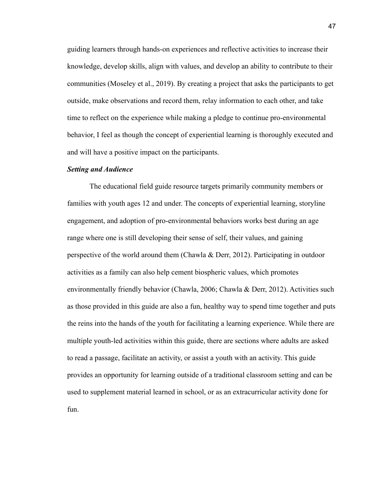guiding learners through hands-on experiences and reflective activities to increase their knowledge, develop skills, align with values, and develop an ability to contribute to their communities (Moseley et al., 2019). By creating a project that asks the participants to get outside, make observations and record them, relay information to each other, and take time to reflect on the experience while making a pledge to continue pro-environmental behavior, I feel as though the concept of experiential learning is thoroughly executed and and will have a positive impact on the participants.

#### *Setting and Audience*

The educational field guide resource targets primarily community members or families with youth ages 12 and under. The concepts of experiential learning, storyline engagement, and adoption of pro-environmental behaviors works best during an age range where one is still developing their sense of self, their values, and gaining perspective of the world around them (Chawla & Derr, 2012). Participating in outdoor activities as a family can also help cement biospheric values, which promotes environmentally friendly behavior (Chawla, 2006; Chawla & Derr, 2012). Activities such as those provided in this guide are also a fun, healthy way to spend time together and puts the reins into the hands of the youth for facilitating a learning experience. While there are multiple youth-led activities within this guide, there are sections where adults are asked to read a passage, facilitate an activity, or assist a youth with an activity. This guide provides an opportunity for learning outside of a traditional classroom setting and can be used to supplement material learned in school, or as an extracurricular activity done for fun.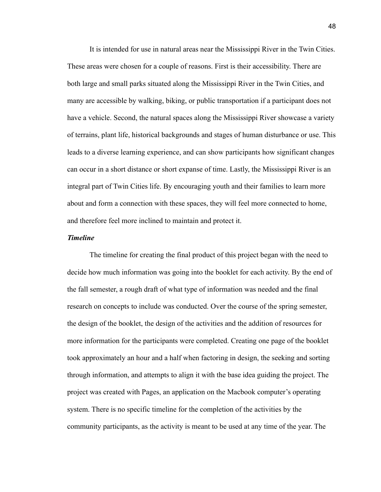It is intended for use in natural areas near the Mississippi River in the Twin Cities. These areas were chosen for a couple of reasons. First is their accessibility. There are both large and small parks situated along the Mississippi River in the Twin Cities, and many are accessible by walking, biking, or public transportation if a participant does not have a vehicle. Second, the natural spaces along the Mississippi River showcase a variety of terrains, plant life, historical backgrounds and stages of human disturbance or use. This leads to a diverse learning experience, and can show participants how significant changes can occur in a short distance or short expanse of time. Lastly, the Mississippi River is an integral part of Twin Cities life. By encouraging youth and their families to learn more about and form a connection with these spaces, they will feel more connected to home, and therefore feel more inclined to maintain and protect it.

# *Timeline*

The timeline for creating the final product of this project began with the need to decide how much information was going into the booklet for each activity. By the end of the fall semester, a rough draft of what type of information was needed and the final research on concepts to include was conducted. Over the course of the spring semester, the design of the booklet, the design of the activities and the addition of resources for more information for the participants were completed. Creating one page of the booklet took approximately an hour and a half when factoring in design, the seeking and sorting through information, and attempts to align it with the base idea guiding the project. The project was created with Pages, an application on the Macbook computer's operating system. There is no specific timeline for the completion of the activities by the community participants, as the activity is meant to be used at any time of the year. The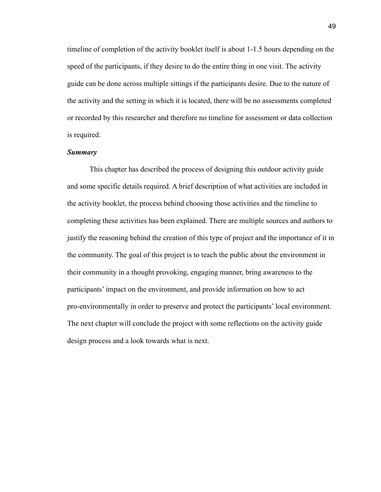timeline of completion of the activity booklet itself is about 1-1.5 hours depending on the speed of the participants, if they desire to do the entire thing in one visit. The activity guide can be done across multiple sittings if the participants desire. Due to the nature of the activity and the setting in which it is located, there will be no assessments completed or recorded by this researcher and therefore no timeline for assessment or data collection is required.

# *Summary*

This chapter has described the process of designing this outdoor activity guide and some specific details required. A brief description of what activities are included in the activity booklet, the process behind choosing those activities and the timeline to completing these activities has been explained. There are multiple sources and authors to justify the reasoning behind the creation of this type of project and the importance of it in the community. The goal of this project is to teach the public about the environment in their community in a thought provoking, engaging manner, bring awareness to the participants' impact on the environment, and provide information on how to act pro-environmentally in order to preserve and protect the participants' local environment. The next chapter will conclude the project with some reflections on the activity guide design process and a look towards what is next.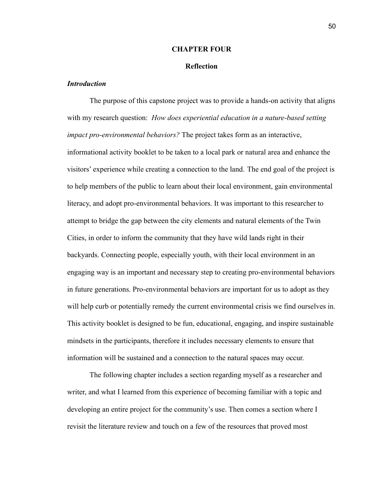## **CHAPTER FOUR**

# **Reflection**

# *Introduction*

The purpose of this capstone project was to provide a hands-on activity that aligns with my research question: *How does experiential education in a nature-based setting impact pro-environmental behaviors?* The project takes form as an interactive, informational activity booklet to be taken to a local park or natural area and enhance the visitors' experience while creating a connection to the land. The end goal of the project is to help members of the public to learn about their local environment, gain environmental literacy, and adopt pro-environmental behaviors. It was important to this researcher to attempt to bridge the gap between the city elements and natural elements of the Twin Cities, in order to inform the community that they have wild lands right in their backyards. Connecting people, especially youth, with their local environment in an engaging way is an important and necessary step to creating pro-environmental behaviors in future generations. Pro-environmental behaviors are important for us to adopt as they will help curb or potentially remedy the current environmental crisis we find ourselves in. This activity booklet is designed to be fun, educational, engaging, and inspire sustainable mindsets in the participants, therefore it includes necessary elements to ensure that information will be sustained and a connection to the natural spaces may occur.

The following chapter includes a section regarding myself as a researcher and writer, and what I learned from this experience of becoming familiar with a topic and developing an entire project for the community's use. Then comes a section where I revisit the literature review and touch on a few of the resources that proved most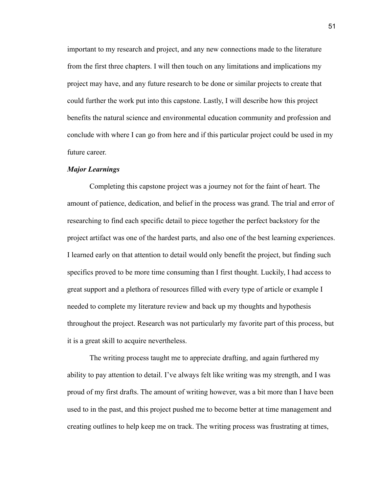important to my research and project, and any new connections made to the literature from the first three chapters. I will then touch on any limitations and implications my project may have, and any future research to be done or similar projects to create that could further the work put into this capstone. Lastly, I will describe how this project benefits the natural science and environmental education community and profession and conclude with where I can go from here and if this particular project could be used in my future career.

# *Major Learnings*

Completing this capstone project was a journey not for the faint of heart. The amount of patience, dedication, and belief in the process was grand. The trial and error of researching to find each specific detail to piece together the perfect backstory for the project artifact was one of the hardest parts, and also one of the best learning experiences. I learned early on that attention to detail would only benefit the project, but finding such specifics proved to be more time consuming than I first thought. Luckily, I had access to great support and a plethora of resources filled with every type of article or example I needed to complete my literature review and back up my thoughts and hypothesis throughout the project. Research was not particularly my favorite part of this process, but it is a great skill to acquire nevertheless.

The writing process taught me to appreciate drafting, and again furthered my ability to pay attention to detail. I've always felt like writing was my strength, and I was proud of my first drafts. The amount of writing however, was a bit more than I have been used to in the past, and this project pushed me to become better at time management and creating outlines to help keep me on track. The writing process was frustrating at times,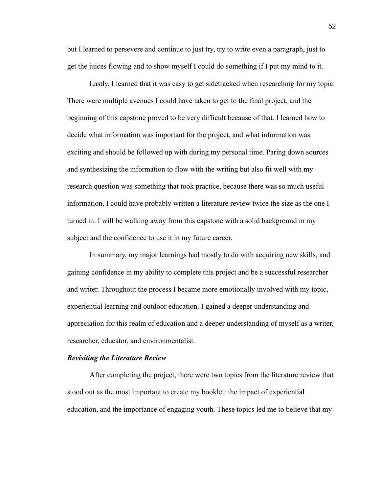but I learned to persevere and continue to just try, try to write even a paragraph, just to get the juices flowing and to show myself I could do something if I put my mind to it.

Lastly, I learned that it was easy to get sidetracked when researching for my topic. There were multiple avenues I could have taken to get to the final project, and the beginning of this capstone proved to be very difficult because of that. I learned how to decide what information was important for the project, and what information was exciting and should be followed up with during my personal time. Paring down sources and synthesizing the information to flow with the writing but also fit well with my research question was something that took practice, because there was so much useful information, I could have probably written a literature review twice the size as the one I turned in. I will be walking away from this capstone with a solid background in my subject and the confidence to use it in my future career.

In summary, my major learnings had mostly to do with acquiring new skills, and gaining confidence in my ability to complete this project and be a successful researcher and writer. Throughout the process I became more emotionally involved with my topic, experiential learning and outdoor education. I gained a deeper understanding and appreciation for this realm of education and a deeper understanding of myself as a writer, researcher, educator, and environmentalist.

#### *Revisiting the Literature Review*

After completing the project, there were two topics from the literature review that stood out as the most important to create my booklet: the impact of experiential education, and the importance of engaging youth. These topics led me to believe that my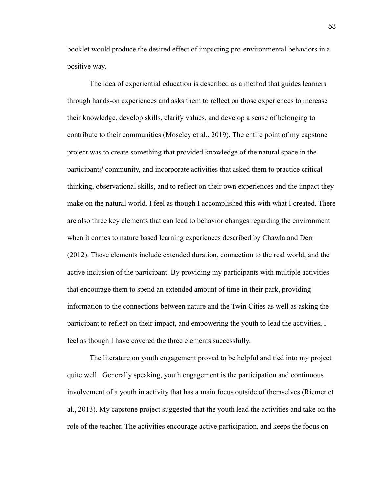booklet would produce the desired effect of impacting pro-environmental behaviors in a positive way.

The idea of experiential education is described as a method that guides learners through hands-on experiences and asks them to reflect on those experiences to increase their knowledge, develop skills, clarify values, and develop a sense of belonging to contribute to their communities (Moseley et al., 2019). The entire point of my capstone project was to create something that provided knowledge of the natural space in the participants' community, and incorporate activities that asked them to practice critical thinking, observational skills, and to reflect on their own experiences and the impact they make on the natural world. I feel as though I accomplished this with what I created. There are also three key elements that can lead to behavior changes regarding the environment when it comes to nature based learning experiences described by Chawla and Derr (2012). Those elements include extended duration, connection to the real world, and the active inclusion of the participant. By providing my participants with multiple activities that encourage them to spend an extended amount of time in their park, providing information to the connections between nature and the Twin Cities as well as asking the participant to reflect on their impact, and empowering the youth to lead the activities, I feel as though I have covered the three elements successfully.

The literature on youth engagement proved to be helpful and tied into my project quite well. Generally speaking, youth engagement is the participation and continuous involvement of a youth in activity that has a main focus outside of themselves (Riemer et al., 2013). My capstone project suggested that the youth lead the activities and take on the role of the teacher. The activities encourage active participation, and keeps the focus on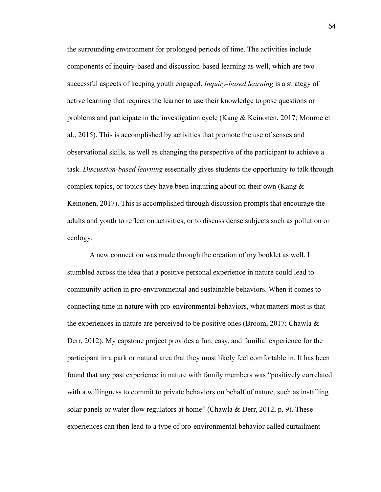the surrounding environment for prolonged periods of time. The activities include components of inquiry-based and discussion-based learning as well, which are two successful aspects of keeping youth engaged. *Inquiry-based learning* is a strategy of active learning that requires the learner to use their knowledge to pose questions or problems and participate in the investigation cycle (Kang & Keinonen, 2017; Monroe et al., 2015). This is accomplished by activities that promote the use of senses and observational skills, as well as changing the perspective of the participant to achieve a task. *Discussion-based learning* essentially gives students the opportunity to talk through complex topics, or topics they have been inquiring about on their own (Kang  $\&$ Keinonen, 2017). This is accomplished through discussion prompts that encourage the adults and youth to reflect on activities, or to discuss dense subjects such as pollution or ecology.

A new connection was made through the creation of my booklet as well. I stumbled across the idea that a positive personal experience in nature could lead to community action in pro-environmental and sustainable behaviors. When it comes to connecting time in nature with pro-environmental behaviors, what matters most is that the experiences in nature are perceived to be positive ones (Broom, 2017; Chawla  $\&$ Derr, 2012). My capstone project provides a fun, easy, and familial experience for the participant in a park or natural area that they most likely feel comfortable in. It has been found that any past experience in nature with family members was "positively correlated with a willingness to commit to private behaviors on behalf of nature, such as installing solar panels or water flow regulators at home" (Chawla & Derr, 2012, p. 9). These experiences can then lead to a type of pro-environmental behavior called curtailment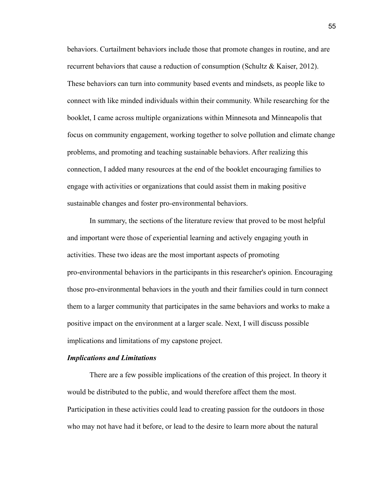behaviors. Curtailment behaviors include those that promote changes in routine, and are recurrent behaviors that cause a reduction of consumption (Schultz & Kaiser, 2012). These behaviors can turn into community based events and mindsets, as people like to connect with like minded individuals within their community. While researching for the booklet, I came across multiple organizations within Minnesota and Minneapolis that focus on community engagement, working together to solve pollution and climate change problems, and promoting and teaching sustainable behaviors. After realizing this connection, I added many resources at the end of the booklet encouraging families to engage with activities or organizations that could assist them in making positive sustainable changes and foster pro-environmental behaviors.

In summary, the sections of the literature review that proved to be most helpful and important were those of experiential learning and actively engaging youth in activities. These two ideas are the most important aspects of promoting pro-environmental behaviors in the participants in this researcher's opinion. Encouraging those pro-environmental behaviors in the youth and their families could in turn connect them to a larger community that participates in the same behaviors and works to make a positive impact on the environment at a larger scale. Next, I will discuss possible implications and limitations of my capstone project.

#### *Implications and Limitations*

There are a few possible implications of the creation of this project. In theory it would be distributed to the public, and would therefore affect them the most. Participation in these activities could lead to creating passion for the outdoors in those who may not have had it before, or lead to the desire to learn more about the natural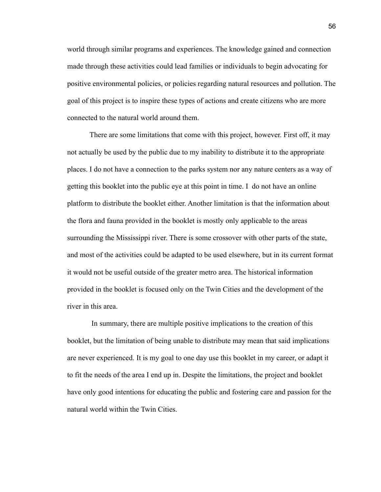world through similar programs and experiences. The knowledge gained and connection made through these activities could lead families or individuals to begin advocating for positive environmental policies, or policies regarding natural resources and pollution. The goal of this project is to inspire these types of actions and create citizens who are more connected to the natural world around them.

There are some limitations that come with this project, however. First off, it may not actually be used by the public due to my inability to distribute it to the appropriate places. I do not have a connection to the parks system nor any nature centers as a way of getting this booklet into the public eye at this point in time. I do not have an online platform to distribute the booklet either. Another limitation is that the information about the flora and fauna provided in the booklet is mostly only applicable to the areas surrounding the Mississippi river. There is some crossover with other parts of the state, and most of the activities could be adapted to be used elsewhere, but in its current format it would not be useful outside of the greater metro area. The historical information provided in the booklet is focused only on the Twin Cities and the development of the river in this area.

In summary, there are multiple positive implications to the creation of this booklet, but the limitation of being unable to distribute may mean that said implications are never experienced. It is my goal to one day use this booklet in my career, or adapt it to fit the needs of the area I end up in. Despite the limitations, the project and booklet have only good intentions for educating the public and fostering care and passion for the natural world within the Twin Cities.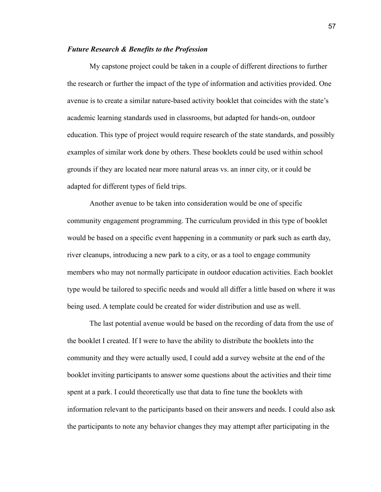#### *Future Research & Benefits to the Profession*

My capstone project could be taken in a couple of different directions to further the research or further the impact of the type of information and activities provided. One avenue is to create a similar nature-based activity booklet that coincides with the state's academic learning standards used in classrooms, but adapted for hands-on, outdoor education. This type of project would require research of the state standards, and possibly examples of similar work done by others. These booklets could be used within school grounds if they are located near more natural areas vs. an inner city, or it could be adapted for different types of field trips.

Another avenue to be taken into consideration would be one of specific community engagement programming. The curriculum provided in this type of booklet would be based on a specific event happening in a community or park such as earth day, river cleanups, introducing a new park to a city, or as a tool to engage community members who may not normally participate in outdoor education activities. Each booklet type would be tailored to specific needs and would all differ a little based on where it was being used. A template could be created for wider distribution and use as well.

The last potential avenue would be based on the recording of data from the use of the booklet I created. If I were to have the ability to distribute the booklets into the community and they were actually used, I could add a survey website at the end of the booklet inviting participants to answer some questions about the activities and their time spent at a park. I could theoretically use that data to fine tune the booklets with information relevant to the participants based on their answers and needs. I could also ask the participants to note any behavior changes they may attempt after participating in the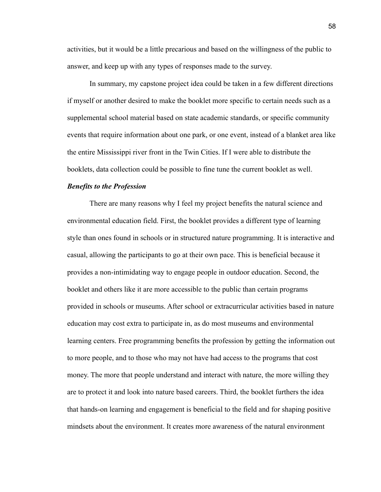activities, but it would be a little precarious and based on the willingness of the public to answer, and keep up with any types of responses made to the survey.

In summary, my capstone project idea could be taken in a few different directions if myself or another desired to make the booklet more specific to certain needs such as a supplemental school material based on state academic standards, or specific community events that require information about one park, or one event, instead of a blanket area like the entire Mississippi river front in the Twin Cities. If I were able to distribute the booklets, data collection could be possible to fine tune the current booklet as well.

#### *Benefits to the Profession*

There are many reasons why I feel my project benefits the natural science and environmental education field. First, the booklet provides a different type of learning style than ones found in schools or in structured nature programming. It is interactive and casual, allowing the participants to go at their own pace. This is beneficial because it provides a non-intimidating way to engage people in outdoor education. Second, the booklet and others like it are more accessible to the public than certain programs provided in schools or museums. After school or extracurricular activities based in nature education may cost extra to participate in, as do most museums and environmental learning centers. Free programming benefits the profession by getting the information out to more people, and to those who may not have had access to the programs that cost money. The more that people understand and interact with nature, the more willing they are to protect it and look into nature based careers. Third, the booklet furthers the idea that hands-on learning and engagement is beneficial to the field and for shaping positive mindsets about the environment. It creates more awareness of the natural environment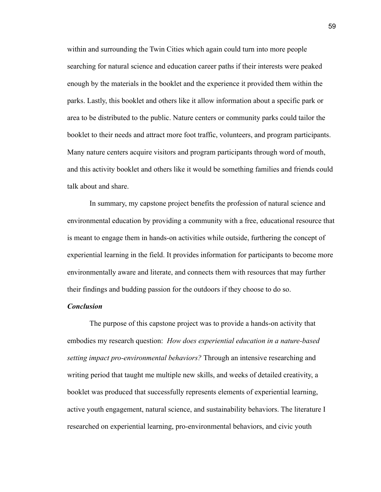within and surrounding the Twin Cities which again could turn into more people searching for natural science and education career paths if their interests were peaked enough by the materials in the booklet and the experience it provided them within the parks. Lastly, this booklet and others like it allow information about a specific park or area to be distributed to the public. Nature centers or community parks could tailor the booklet to their needs and attract more foot traffic, volunteers, and program participants. Many nature centers acquire visitors and program participants through word of mouth, and this activity booklet and others like it would be something families and friends could talk about and share.

In summary, my capstone project benefits the profession of natural science and environmental education by providing a community with a free, educational resource that is meant to engage them in hands-on activities while outside, furthering the concept of experiential learning in the field. It provides information for participants to become more environmentally aware and literate, and connects them with resources that may further their findings and budding passion for the outdoors if they choose to do so.

# *Conclusion*

The purpose of this capstone project was to provide a hands-on activity that embodies my research question: *How does experiential education in a nature-based setting impact pro-environmental behaviors?* Through an intensive researching and writing period that taught me multiple new skills, and weeks of detailed creativity, a booklet was produced that successfully represents elements of experiential learning, active youth engagement, natural science, and sustainability behaviors. The literature I researched on experiential learning, pro-environmental behaviors, and civic youth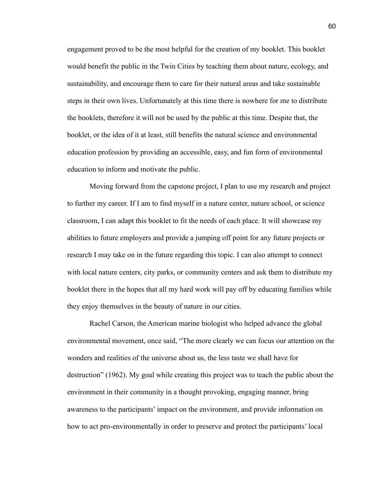engagement proved to be the most helpful for the creation of my booklet. This booklet would benefit the public in the Twin Cities by teaching them about nature, ecology, and sustainability, and encourage them to care for their natural areas and take sustainable steps in their own lives. Unfortunately at this time there is nowhere for me to distribute the booklets, therefore it will not be used by the public at this time. Despite that, the booklet, or the idea of it at least, still benefits the natural science and environmental education profession by providing an accessible, easy, and fun form of environmental education to inform and motivate the public.

Moving forward from the capstone project, I plan to use my research and project to further my career. If I am to find myself in a nature center, nature school, or science classroom, I can adapt this booklet to fit the needs of each place. It will showcase my abilities to future employers and provide a jumping off point for any future projects or research I may take on in the future regarding this topic. I can also attempt to connect with local nature centers, city parks, or community centers and ask them to distribute my booklet there in the hopes that all my hard work will pay off by educating families while they enjoy themselves in the beauty of nature in our cities.

Rachel Carson, the American marine biologist who helped advance the global environmental movement, once said, "The more clearly we can focus our attention on the wonders and realities of the universe about us, the less taste we shall have for destruction" (1962). My goal while creating this project was to teach the public about the environment in their community in a thought provoking, engaging manner, bring awareness to the participants' impact on the environment, and provide information on how to act pro-environmentally in order to preserve and protect the participants' local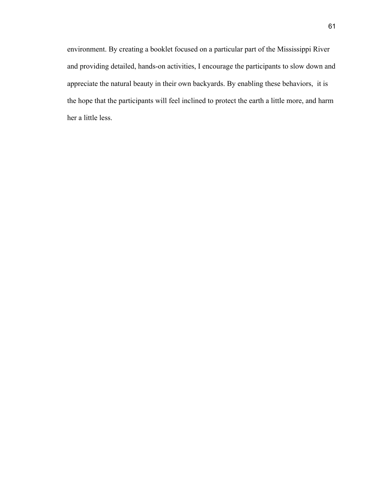environment. By creating a booklet focused on a particular part of the Mississippi River and providing detailed, hands-on activities, I encourage the participants to slow down and appreciate the natural beauty in their own backyards. By enabling these behaviors, it is the hope that the participants will feel inclined to protect the earth a little more, and harm her a little less.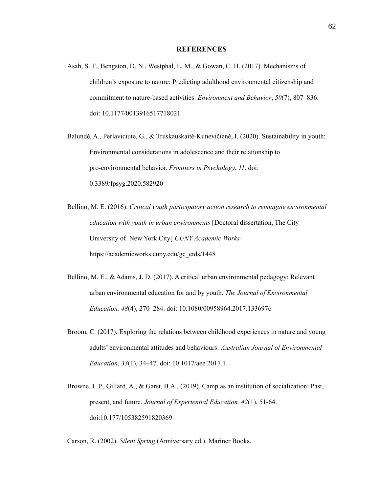#### **REFERENCES**

- Asah, S. T., Bengston, D. N., Westphal, L. M., & Gowan, C. H. (2017). Mechanisms of children's exposure to nature: Predicting adulthood environmental citizenship and commitment to nature-based activities. *Environment and Behavior*, *50*(7), 807–836. doi: 10.1177/0013916517718021
- Balundė, A., Perlaviciute, G., & Truskauskaitė-Kunevičienė, I. (2020). Sustainability in youth: Environmental considerations in adolescence and their relationship to pro-environmental behavior. *Frontiers in Psychology*, *11*. doi: 0.3389/fpsyg.2020.582920
- Bellino, M. E. (2016). *Critical youth participatory action research to reimagine environmental education with youth in urban environments* [Doctoral dissertation, The City University of New York City] *CUNY Academic Works*[https://academicworks.cuny.edu/gc\\_etds/1448](https://academicworks.cuny.edu/gc_etds/1448)
- Bellino, M. E., & Adams, J. D. (2017). A critical urban environmental pedagogy: Relevant urban environmental education for and by youth. *The Journal of Environmental Education, 48*(4), 270–284. doi: 10.1080/00958964.2017.1336976
- Broom, C. (2017). Exploring the relations between childhood experiences in nature and young adults' environmental attitudes and behaviours*. Australian Journal of Environmental Education*, *33*(1), 34–47. doi: 10.1017/aee.2017.1
- Browne, L.P., Gillard, A., & Garst, B.A., (2019). Camp as an institution of socialization: Past, present, and future. *Journal of Experiential Education. 42*(1), 51-64. doi:10.177/105382591820369

Carson, R. (2002). *Silent Spring* (Anniversary ed.). Mariner Books.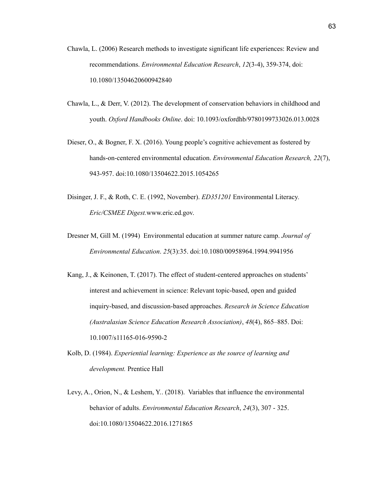- Chawla, L. (2006) Research methods to investigate significant life experiences: Review and recommendations. *Environmental Education Research*, *12*(3-4), 359-374, doi: 10.1080/13504620600942840
- Chawla, L., & Derr, V. (2012). The development of conservation behaviors in childhood and youth. *Oxford Handbooks Online*. doi: 10.1093/oxfordhb/9780199733026.013.0028
- Dieser, O., & Bogner, F. X. (2016). Young people's cognitive achievement as fostered by hands-on-centered environmental education. *Environmental Education Research, 22*(7), 943-957. doi:10.1080/13504622.2015.1054265
- Disinger, J. F., & Roth, C. E. (1992, November). *ED351201* Environmental Literacy*. Eric/CSMEE Digest.*www.eric.ed.gov.
- Dresner M, Gill M. (1994) Environmental education at summer nature camp. *Journal of Environmental Education*. *25*(3):35. doi:10.1080/00958964.1994.9941956
- Kang, J., & Keinonen, T. (2017). The effect of student-centered approaches on students' interest and achievement in science: Relevant topic-based, open and guided inquiry-based, and discussion-based approaches. *Research in Science Education (Australasian Science Education Research Association)*, *48*(4), 865–885. Doi: 10.1007/s11165-016-9590-2
- Kolb, D. (1984). *Experiential learning: Experience as the source of learning and development.* Prentice Hall
- [Levy,](https://naaee.org/eepro/research/library/search?cid%5B%5D=5039) A., [Orion,](https://naaee.org/eepro/research/library/search?cid%5B%5D=4116) N., & [Leshem,](https://naaee.org/eepro/research/library/search?cid%5B%5D=5040) Y.. (2018). Variables that influence the environmental behavior of adults. *Environmental Education Research*, *24*(3), 307 - 325. doi[:10.1080/13504622.2016.1271865](https://doi.org/10.1080/13504622.2016.1271865)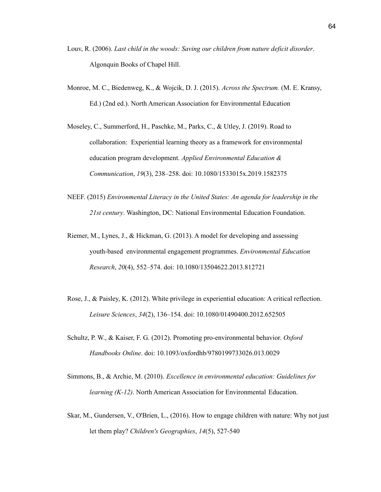- Louv, R. (2006). *Last child in the woods: Saving our children from nature deficit disorder*. Algonquin Books of Chapel Hill.
- Monroe, M. C., Biedenweg, K., & Wojcik, D. J. (2015). *Across the Spectrum.* (M. E. Kransy, Ed.) (2nd ed.). North American Association for Environmental Education
- Moseley, C., Summerford, H., Paschke, M., Parks, C., & Utley, J. (2019). Road to collaboration: Experiential learning theory as a framework for environmental education program development. *Applied Environmental Education & Communication*, *19*(3), 238–258. doi: 10.1080/1533015x.2019.1582375
- NEEF. (2015) *Environmental Literacy in the United States: An agenda for leadership in the 21st century*. Washington, DC: National Environmental Education Foundation.
- Riemer, M., Lynes, J., & Hickman, G. (2013). A model for developing and assessing youth-based environmental engagement programmes. *Environmental Education Research*, *20*(4), 552–574. doi: 10.1080/13504622.2013.812721
- Rose, J., & Paisley, K. (2012). White privilege in experiential education: A critical reflection. *Leisure Sciences*, *34*(2), 136–154. doi: 10.1080/01490400.2012.652505
- Schultz, P. W., & Kaiser, F. G. (2012). Promoting pro-environmental behavior. *Oxford Handbooks Online*. doi: 10.1093/oxfordhb/9780199733026.013.0029
- Simmons, B., & Archie, M. (2010). *Excellence in environmental education: Guidelines for learning (K-12)*. North American Association for Environmental Education.
- Skar, M., Gundersen, V., O'Brien, L., (2016). How to engage children with nature: Why not just let them play? *Children's Geographies*, *14*(5), 527-540